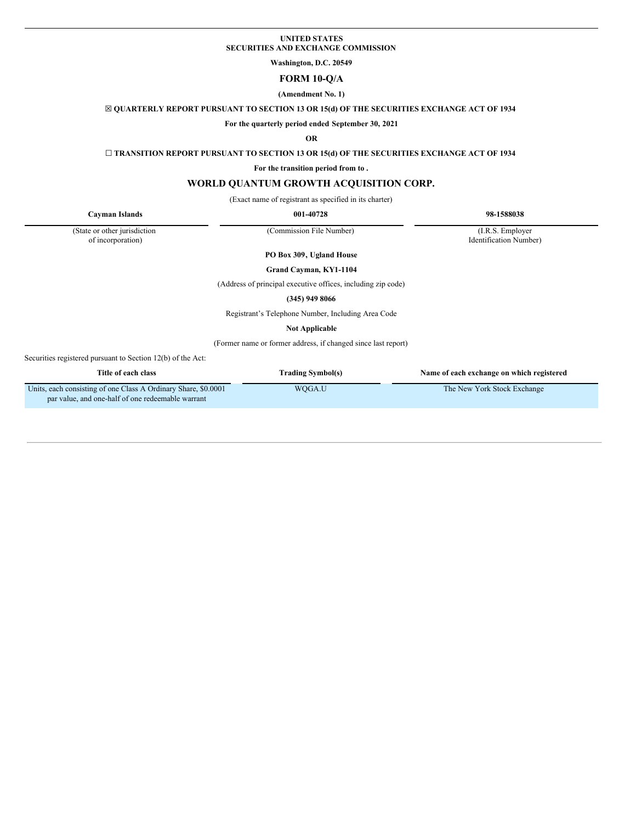# **UNITED STATES SECURITIES AND EXCHANGE COMMISSION**

**Washington, D.C. 20549**

# **FORM 10-Q/A**

# **(Amendment No. 1)**

☒ **QUARTERLY REPORT PURSUANT TO SECTION 13 OR 15(d) OF THE SECURITIES EXCHANGE ACT OF 1934**

**For the quarterly period ended September 30, 2021**

# **OR**

☐ **TRANSITION REPORT PURSUANT TO SECTION 13 OR 15(d) OF THE SECURITIES EXCHANGE ACT OF 1934**

**For the transition period from to .**

# **WORLD QUANTUM GROWTH ACQUISITION CORP.**

(Exact name of registrant as specified in its charter)

**Cayman Islands 001-40728 98-1588038**

(State or other jurisdiction

of incorporation)

(Commission File Number) (I.R.S. Employer

Identification Number)

**PO Box 309, Ugland House**

**Grand Cayman, KY1-1104**

(Address of principal executive offices, including zip code)

**(345) 949 8066**

Registrant's Telephone Number, Including Area Code

**Not Applicable**

(Former name or former address, if changed since last report)

Securities registered pursuant to Section 12(b) of the Act:

| Title of each class                                                                                                 | Trading Symbol(s) | Name of each exchange on which registered |
|---------------------------------------------------------------------------------------------------------------------|-------------------|-------------------------------------------|
| Units, each consisting of one Class A Ordinary Share, \$0,0001<br>par value, and one-half of one redeemable warrant | WOGA.U            | The New York Stock Exchange               |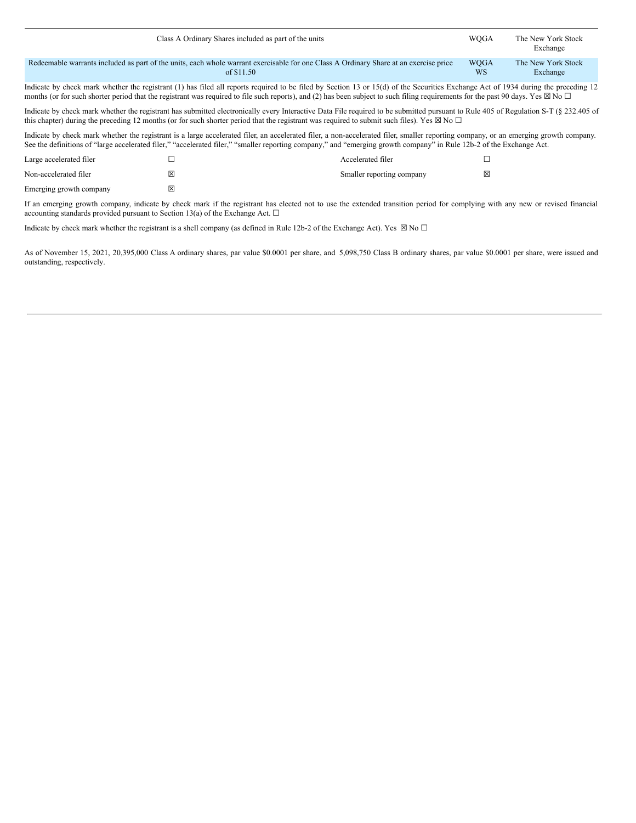| Class A Ordinary Shares included as part of the units                                                                                                                                                                                                                                                                                                                                 | <b>WOGA</b>              | The New York Stock<br>Exchange |  |  |  |  |  |
|---------------------------------------------------------------------------------------------------------------------------------------------------------------------------------------------------------------------------------------------------------------------------------------------------------------------------------------------------------------------------------------|--------------------------|--------------------------------|--|--|--|--|--|
| Redeemable warrants included as part of the units, each whole warrant exercisable for one Class A Ordinary Share at an exercise price<br>of \$11.50                                                                                                                                                                                                                                   | <b>WOGA</b><br><b>WS</b> | The New York Stock<br>Exchange |  |  |  |  |  |
| Indicate by check mark whether the registrant (1) has filed all reports required to be filed by Section 13 or 15(d) of the Securities Exchange Act of 1934 during the preceding 12<br>months (or for such shorter period that the registrant was required to file such reports), and (2) has been subject to such filing requirements for the past 90 days. Yes $\boxtimes$ No $\Box$ |                          |                                |  |  |  |  |  |

Indicate by check mark whether the registrant has submitted electronically every Interactive Data File required to be submitted pursuant to Rule 405 of Regulation S-T (§ 232.405 of this chapter) during the preceding 12 months (or for such shorter period that the registrant was required to submit such files). Yes  $\boxtimes$  No  $\Box$ 

Indicate by check mark whether the registrant is a large accelerated filer, an accelerated filer, a non-accelerated filer, smaller reporting company, or an emerging growth company. See the definitions of "large accelerated filer," "accelerated filer," "smaller reporting company," and "emerging growth company" in Rule 12b-2 of the Exchange Act.

| Large accelerated filer |   | Accelerated filer         |   |
|-------------------------|---|---------------------------|---|
| Non-accelerated filer   | ⊠ | Smaller reporting company | ⊠ |
| Emerging growth company |   |                           |   |

If an emerging growth company, indicate by check mark if the registrant has elected not to use the extended transition period for complying with any new or revised financial accounting standards provided pursuant to Section 13(a) of the Exchange Act.  $\Box$ 

Indicate by check mark whether the registrant is a shell company (as defined in Rule 12b-2 of the Exchange Act). Yes  $\boxtimes$  No  $\Box$ 

As of November 15, 2021, 20,395,000 Class A ordinary shares, par value \$0.0001 per share, and 5,098,750 Class B ordinary shares, par value \$0.0001 per share, were issued and outstanding, respectively.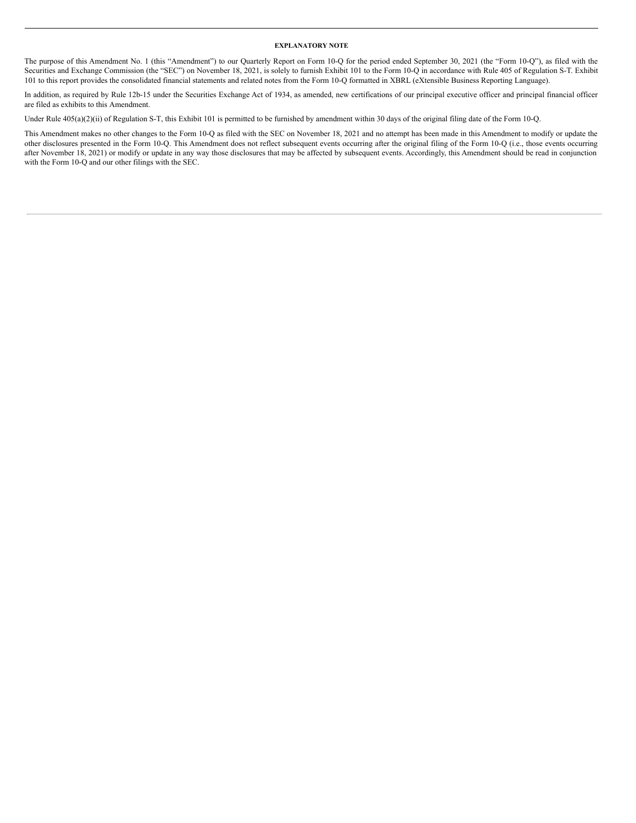#### **EXPLANATORY NOTE**

The purpose of this Amendment No. 1 (this "Amendment") to our Quarterly Report on Form 10-Q for the period ended September 30, 2021 (the "Form 10-Q"), as filed with the Securities and Exchange Commission (the "SEC") on November 18, 2021, is solely to furnish Exhibit 101 to the Form 10-Q in accordance with Rule 405 of Regulation S-T. Exhibit 101 to this report provides the consolidated financial statements and related notes from the Form 10-Q formatted in XBRL (eXtensible Business Reporting Language).

In addition, as required by Rule 12b-15 under the Securities Exchange Act of 1934, as amended, new certifications of our principal executive officer and principal financial officer are filed as exhibits to this Amendment.

Under Rule 405(a)(2)(ii) of Regulation S-T, this Exhibit 101 is permitted to be furnished by amendment within 30 days of the original filing date of the Form 10-Q.

This Amendment makes no other changes to the Form 10-Q as filed with the SEC on November 18, 2021 and no attempt has been made in this Amendment to modify or update the other disclosures presented in the Form 10-Q. This Amendment does not reflect subsequent events occurring after the original filing of the Form 10-Q (i.e., those events occurring after November 18, 2021) or modify or update in any way those disclosures that may be affected by subsequent events. Accordingly, this Amendment should be read in conjunction with the Form 10-Q and our other filings with the SEC.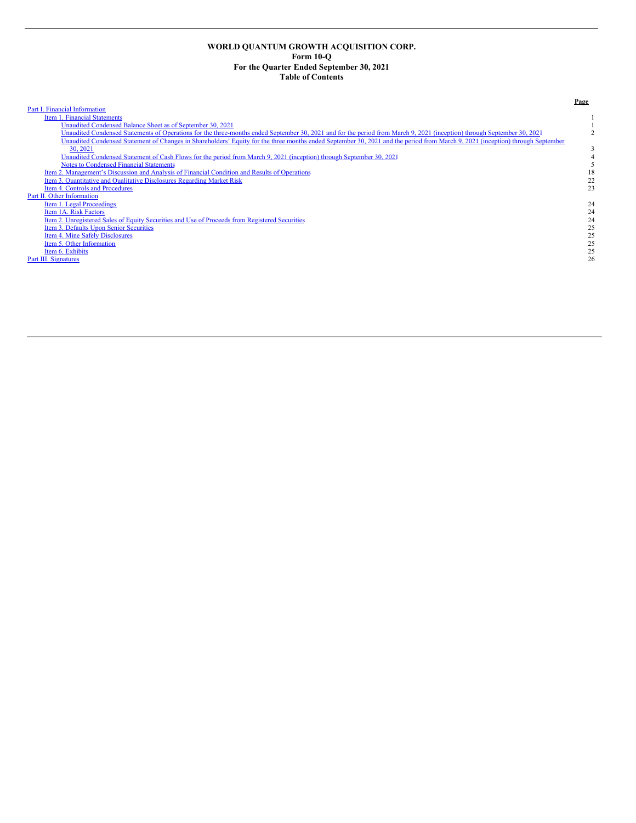# **WORLD QUANTUM GROWTH ACQUISITION CORP. Form 10-Q For the Quarter Ended September 30, 2021 Table of Contents**

Part I. Financial [Information](#page-4-0) Item 1. Financial [Statements](#page-4-1)<br>
Unaudited Condensed Balance Sheet as of September 30, 2021<br>
1 1<br>1 Unaudited [Condensed](#page-4-2) Balance Sheet as of September 30, 2021<br>1 Unaudited Condensed Statements of Operations for the [three-months](#page-5-0) ended September 30, 2021 and for the period from March 9, 2021 (inception) through Septembe 30, 2021 3 Unaudited [Condensed](#page-7-0) Statement of Cash Flows for the period from March 9, 2021 (inception) through September 30, 2021 4 Notes to [Condensed](#page-8-0) Financial Statements<br>
2. Management's Discussion and Analysis of Financial Condition and Results of Operations<br>
18 Item 2. [Management's](#page-21-0) Discussion and Analysis of Financial Condition and Results of Operations<br>
Item 3. Quantitative and Qualitative Disclosures Regarding Market Risk 22 Item 3. [Quantitative](#page-25-0) and Qualitative Disclosures Regarding Market Risk 22<br>
23<br>
23<br>
23 Item 4. Controls and [Procedures](#page-26-0) Part II. Other [Information](#page-27-0) Item 1. Legal [Proceedings](#page-27-1)<br>Item 1A. Risk [Factors](#page-27-2) 24 Item 1.A. Risk Factors<br>
<u>Item 1.A. Risk Factors</u><br>
<u>Item 2. [Unregistered](#page-27-3) Sales of Equity Securities</u> and Use of Proceeds from Registered Securities<br>
24<br>
<u>Item 4. Mine Safely Disclosures</u> 25<br>
25 Item 3. Defaults Upon Senior [Securities](#page-28-0) Item 4. Mine Safely [Disclosures](#page-28-1)<br>
1998 - March Chen Information<br>
<u>Item 6. Exhibits</u><br>
25<br>
<u>II. Signatures</u> 25<br>
26 Item 5. Other [Information](#page-28-2)<br>Item 6. Exhibits Item 6. [Exhibits](#page-28-3) 25 Part III. [Signatures](#page-29-0) 26

# **Page**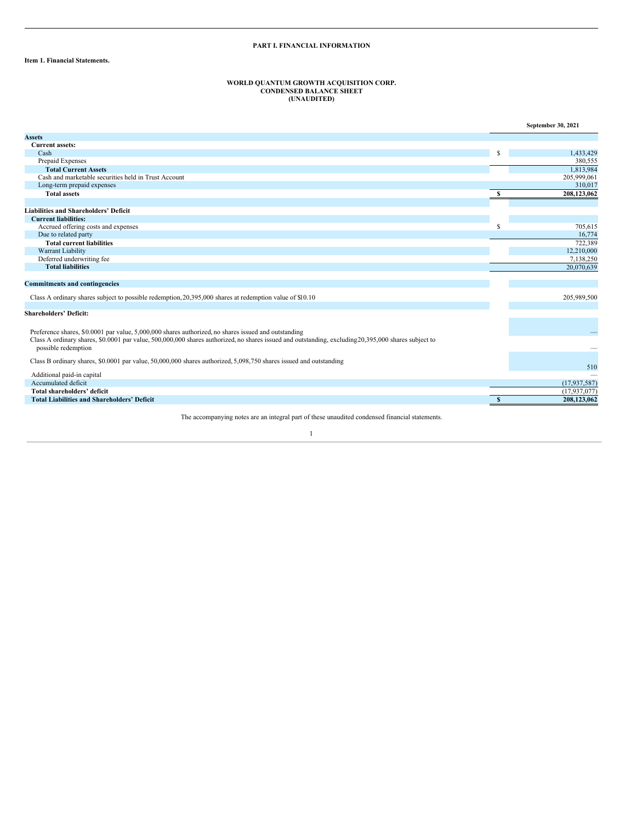# **PART I. FINANCIAL INFORMATION**

# <span id="page-4-2"></span><span id="page-4-1"></span><span id="page-4-0"></span>**Item 1. Financial Statements.**

# **WORLD QUANTUM GROWTH ACQUISITION CORP. CONDENSED BALANCE SHEET (UNAUDITED)**

|                                                                                                                                                      |              | September 30, 2021 |
|------------------------------------------------------------------------------------------------------------------------------------------------------|--------------|--------------------|
| <b>Assets</b>                                                                                                                                        |              |                    |
| <b>Current assets:</b>                                                                                                                               |              |                    |
| Cash                                                                                                                                                 |              | 1,433,429          |
| Prepaid Expenses                                                                                                                                     |              | 380,555            |
| <b>Total Current Assets</b>                                                                                                                          |              | 1,813,984          |
| Cash and marketable securities held in Trust Account                                                                                                 |              | 205,999,061        |
| Long-term prepaid expenses                                                                                                                           |              | 310,017            |
| <b>Total assets</b>                                                                                                                                  | S            | 208,123,062        |
|                                                                                                                                                      |              |                    |
| <b>Liabilities and Shareholders' Deficit</b>                                                                                                         |              |                    |
| <b>Current liabilities:</b>                                                                                                                          |              |                    |
| Accrued offering costs and expenses                                                                                                                  | S            | 705.615            |
| Due to related party                                                                                                                                 |              | 16.774             |
| <b>Total current liabilities</b>                                                                                                                     |              | 722,389            |
| Warrant Liability                                                                                                                                    |              | 12,210,000         |
| Deferred underwriting fee                                                                                                                            |              | 7,138,250          |
| <b>Total liabilities</b>                                                                                                                             |              | 20,070,639         |
|                                                                                                                                                      |              |                    |
| <b>Commitments and contingencies</b>                                                                                                                 |              |                    |
| Class A ordinary shares subject to possible redemption, 20,395,000 shares at redemption value of \$10.10                                             |              | 205,989,500        |
| <b>Shareholders' Deficit:</b>                                                                                                                        |              |                    |
|                                                                                                                                                      |              |                    |
| Preference shares, \$0.0001 par value, 5,000,000 shares authorized, no shares issued and outstanding                                                 |              |                    |
| Class A ordinary shares, \$0.0001 par value, 500,000,000 shares authorized, no shares issued and outstanding, excluding 20,395,000 shares subject to |              |                    |
| possible redemption                                                                                                                                  |              |                    |
|                                                                                                                                                      |              |                    |
| Class B ordinary shares, \$0.0001 par value, 50,000,000 shares authorized, 5,098,750 shares issued and outstanding                                   |              | 510                |
| Additional paid-in capital                                                                                                                           |              |                    |
| Accumulated deficit                                                                                                                                  |              | (17, 937, 587)     |
| <b>Total shareholders' deficit</b>                                                                                                                   |              | (17,937,077)       |
| <b>Total Liabilities and Shareholders' Deficit</b>                                                                                                   | $\mathbf{s}$ | 208,123,062        |

The accompanying notes are an integral part of these unaudited condensed financial statements.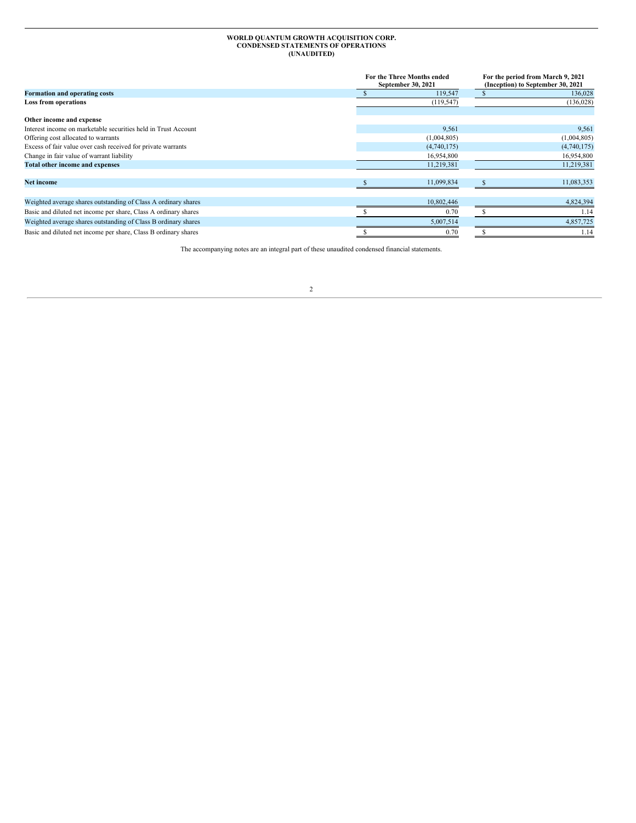# **WORLD QUANTUM GROWTH ACQUISITION CORP. CONDENSED STATEMENTS OF OPERATIONS (UNAUDITED)**

<span id="page-5-0"></span>

|                                                                 | For the Three Months ended<br>September 30, 2021 | For the period from March 9, 2021<br>(Inception) to September 30, 2021 |             |  |
|-----------------------------------------------------------------|--------------------------------------------------|------------------------------------------------------------------------|-------------|--|
| Formation and operating costs                                   | 119,547                                          |                                                                        | 136,028     |  |
| <b>Loss from operations</b>                                     | (119, 547)                                       |                                                                        | (136, 028)  |  |
| Other income and expense                                        |                                                  |                                                                        |             |  |
| Interest income on marketable securities held in Trust Account  | 9,561                                            |                                                                        | 9,561       |  |
| Offering cost allocated to warrants                             | (1,004,805)                                      |                                                                        | (1,004,805) |  |
| Excess of fair value over cash received for private warrants    | (4,740,175)                                      |                                                                        | (4,740,175) |  |
| Change in fair value of warrant liability                       | 16,954,800                                       |                                                                        | 16,954,800  |  |
| Total other income and expenses                                 | 11,219,381                                       |                                                                        | 11,219,381  |  |
| <b>Net income</b>                                               | 11,099,834                                       |                                                                        | 11,083,353  |  |
| Weighted average shares outstanding of Class A ordinary shares  | 10,802,446                                       |                                                                        | 4,824,394   |  |
| Basic and diluted net income per share, Class A ordinary shares | 0.70                                             |                                                                        | 1.14        |  |
| Weighted average shares outstanding of Class B ordinary shares  | 5,007,514                                        |                                                                        | 4,857,725   |  |
| Basic and diluted net income per share, Class B ordinary shares | 0.70                                             |                                                                        | 1.14        |  |

The accompanying notes are an integral part of these unaudited condensed financial statements.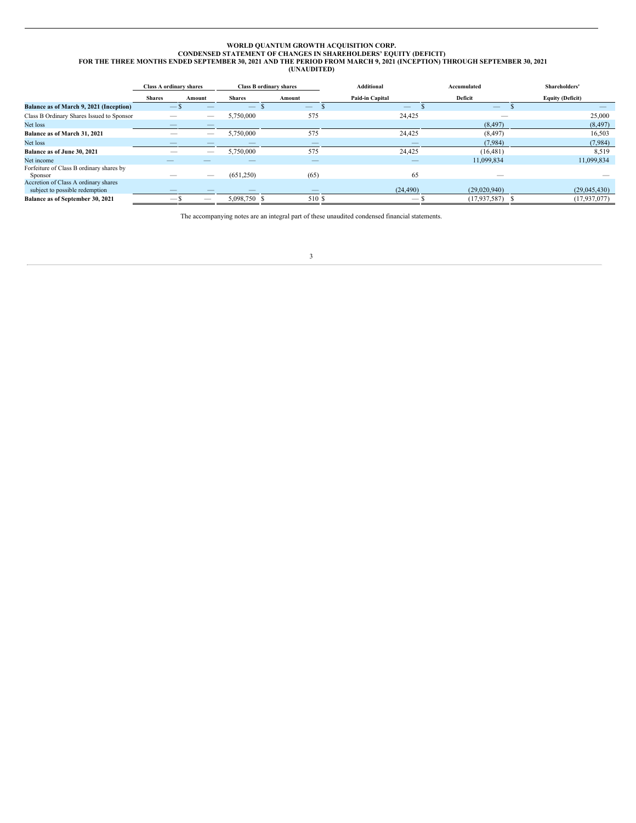# WORLD QUANTUM GROWTH ACQUISITION CORP.<br>CONDENSED STATEMENT OF CHANGES IN SHAREHOLDERS' EQUITY (DEFICIT)<br>FOR THE THREE MONTHS ENDED SEPTEMBER 30, 2021 AND THE PERIOD FROM MARCH 9, 2021 (INCEPTION) THROUGH SEPTEMBER 30, 2021

<span id="page-6-0"></span>

|                                                                        | <b>Class A ordinary shares</b> |        |               | <b>Class B ordinary shares</b> | <b>Additional</b> | Accumulated  | Shareholders'           |
|------------------------------------------------------------------------|--------------------------------|--------|---------------|--------------------------------|-------------------|--------------|-------------------------|
|                                                                        | <b>Shares</b>                  | Amount | <b>Shares</b> | Amount                         | Paid-in Capital   | Deficit      | <b>Equity (Deficit)</b> |
| Balance as of March 9, 2021 (Inception)                                | $ \mathbf{S}$                  |        |               | $\qquad \qquad -$              | $\qquad \qquad -$ |              |                         |
| Class B Ordinary Shares Issued to Sponsor                              |                                | __     | 5,750,000     | 575                            | 24,425            |              | 25,000                  |
| Net loss                                                               |                                |        |               |                                |                   | (8, 497)     | (8, 497)                |
| Balance as of March 31, 2021                                           |                                |        | 5,750,000     | 575                            | 24,425            | (8, 497)     | 16,503                  |
| Net loss                                                               |                                |        |               |                                |                   | (7,984)      | (7,984)                 |
| Balance as of June 30, 2021                                            |                                |        | 5,750,000     | 575                            | 24,425            | (16, 481)    | 8,519                   |
| Net income                                                             |                                |        |               |                                |                   | 11,099,834   | 11,099,834              |
| Forfeiture of Class B ordinary shares by<br>Sponsor                    |                                |        | (651,250)     | (65)                           | 65                |              |                         |
| Accretion of Class A ordinary shares<br>subject to possible redemption |                                |        |               |                                | (24, 490)         | (29,020,940) | (29,045,430)            |
| Balance as of September 30, 2021                                       |                                |        | 5.098.750 \$  | 510 \$                         |                   | (17.937.587) | (17,937,077)            |

The accompanying notes are an integral part of these unaudited condensed financial statements.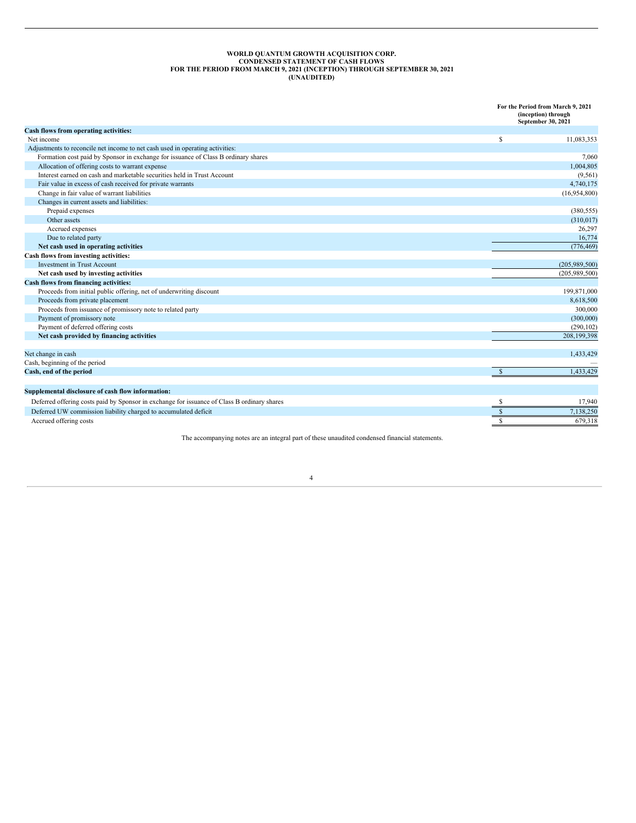#### **WORLD QUANTUM GROWTH ACQUISITION CORP. CONDENSED STATEMENT OF CASH FLOWS FOR THE PERIOD FROM MARCH 9, 2021 (INCEPTION) THROUGH SEPTEMBER 30, 2021 (UNAUDITED)**

<span id="page-7-0"></span>**For the Period from March 9, 2021 (inception) through September 30, 2021 Cash flows from operating activities:** Net income  $\frac{11,083,353}{8}$ Adjustments to reconcile net income to net cash used in operating activities: Formation cost paid by Sponsor in exchange for issuance of Class B ordinary shares 7,060 and the state of Class A ordinary shares 7,060 and the state of Class A ordinary shares 7,060 and the state of Class B ordinary share Allocation of offering costs to warrant expense Interest earned on cash and marketable securities held in Trust Account (9,561)  $(9,561)$  and the securities held in Trust Account (9,561)  $(9,561)$  and the second for private warrants (9,561)  $(9,561)$  and the second for Fair value in excess of cash received for private warrants Change in fair value of warrant liabilities (16,954,800) Changes in current assets and liabilities: Prepaid expenses (380,555) Other assets (310,017) Accrued expenses 26,297 Due to related party and the contract of the contract of the contract of the contract of the contract of the contract of the contract of the contract of the contract of the contract of the contract of the contract of the c **Net** cash used in operating activities (776,469) **Cash flows from investing activities:** Investment in Trust Account (205,989,500) and the count of the country of the country of the country of the country of the country of the country of the country of the country of the country of the country of the country o **Net cash used by investing activities** (205,989,500) **Cash flows from financing activities:** Proceeds from initial public offering, net of underwriting discount 199,871,000 and the United States of the United States of the United States of the United States of the United States of the United States of the United S Proceeds from private placement 8,618,500 Proceeds from issuance of promissory note to related party 300,000 Payment of promissory note (300,000) (300,000) (300,000) (300,000) (300,000) (300,000) (300,000) (300,000) (300,000) (300,000) (300,000) (300,000) (300,000) (300,000) (300,000) (300,000) (300,000) (300,000) (300,000) (300, Payment of deferred offering costs **Net cash provided by financing activities** 208,199,398 Net change in cash and the set of the set of the set of the set of the set of the set of the set of the set of the set of the set of the set of the set of the set of the set of the set of the set of the set of the set of t Cash, beginning of the period and the period cash, end of the period cash, end of the period cash, end of the period cash, end of the period cash, end of the period cash, end of the period cash, end of the period cash, end **Cash, end of the period** \$ 1,433,429 **Supplemental disclosure of cash flow information:** Deferred offering costs paid by Sponsor in exchange for issuance of Class B ordinary shares 5 17,940 Deferred UW commission liability charged to accumulated deficit **1996** and 2003 and 2003 and 2003 and 2003 and 2003 and 2003 and 2003 and 2003 and 2003 and 2003 and 2003 and 2003 and 2003 and 2003 and 2003 and 2003 and 200 Accrued offering costs 679,318

The accompanying notes are an integral part of these unaudited condensed financial statements.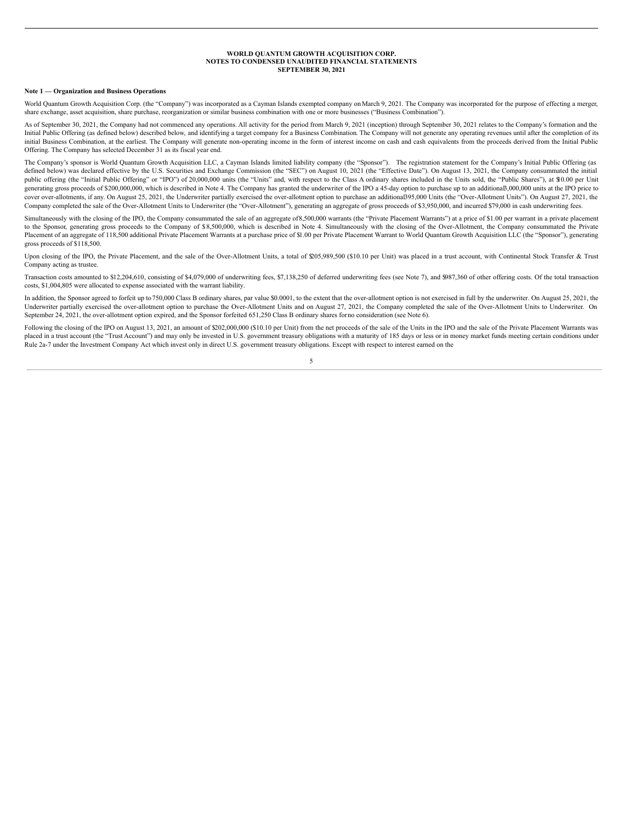#### **WORLD QUANTUM GROWTH ACQUISITION CORP. NOTES TO CONDENSED UNAUDITED FINANCIAL STATEMENTS SEPTEMBER 30, 2021**

#### <span id="page-8-0"></span>**Note 1 — Organization and Business Operations**

World Quantum Growth Acquisition Corp. (the "Company") was incorporated as a Cayman Islands exempted company on March 9, 2021. The Company was incorporated for the purpose of effecting a merger, share exchange, asset acquisition, share purchase, reorganization or similar business combination with one or more businesses ("Business Combination").

As of September 30, 2021, the Company had not commenced any operations. All activity for the period from March 9, 2021 (inception) through September 30, 2021 relates to the Company's formation and the Initial Public Offering (as defined below) described below, and identifying a target company for a Business Combination. The Company will not generate any operating revenues until after the completion of its initial Business Combination, at the earliest. The Company will generate non-operating income in the form of interest income on cash and cash equivalents from the proceeds derived from the Initial Public Offering. The Company has selected December 31 as its fiscal year end.

The Company's sponsor is World Quantum Growth Acquisition LLC, a Cayman Islands limited liability company (the "Sponsor"). The registration statement for the Company's Initial Public Offering (as defined below) was declared effective by the U.S. Securities and Exchange Commission (the "SEC") on August 10, 2021 (the "Effective Date"). On August 13, 2021, the Company consummated the initial public offering (the "Initial Public Offering" or "IPO") of 20,000,000 units (the "Units" and, with respect to the Class A ordinary shares included in the Units sold, the "Public Shares"), at \$10.00 per Unit generating gross proceeds of \$200,000,000, which is described in Note 4. The Company has granted the underwriter of the IPO a 45-day option to purchase up to an additional3,000,000 units at the IPO price to cover over-allotments, if any. On August 25, 2021, the Underwriter partially exercised the over-allotment option to purchase an additional395,000 Units (the "Over-Allotment Units"). On August 27, 2021, the Company completed the sale of the Over-Allotment Units to Underwriter (the "Over-Allotment"), generating an aggregate of gross proceeds of \$3,950,000, and incurred \$79,000 in cash underwriting fees.

Simultaneously with the closing of the IPO, the Company consummated the sale of an aggregate of8,500,000 warrants (the "Private Placement Warrants") at a price of \$1.00 per warrant in a private placement to the Sponsor, generating gross proceeds to the Company of \$8,500,000, which is described in Note 4. Simultaneously with the closing of the Over-Allotment, the Company consummated the Private Placement of an aggregate of 118,500 additional Private Placement Warrants at a purchase price of \$1.00 per Private Placement Warrant to World Quantum Growth Acquisition LLC (the "Sponsor"), generating gross proceeds of \$118,500.

Upon closing of the IPO, the Private Placement, and the sale of the Over-Allotment Units, a total of \$205,989,500 (\$10.10 per Unit) was placed in a trust account, with Continental Stock Transfer & Trust Company acting as trustee.

Transaction costs amounted to \$12,204,610, consisting of \$4,079,000 of underwriting fees, \$7,138,250 of deferred underwriting fees (see Note 7), and \$987,360 of other offering costs. Of the total transaction costs, \$1,004,805 were allocated to expense associated with the warrant liability.

In addition, the Sponsor agreed to forfeit up to 750,000 Class B ordinary shares, par value \$0.0001, to the extent that the over-allotment option is not exercised in full by the underwriter. On August 25, 2021, the Underwriter partially exercised the over-allotment option to purchase the Over-Allotment Units and on August 27, 2021, the Company completed the sale of the Over-Allotment Units to Underwriter. On September 24, 2021, the over-allotment option expired, and the Sponsor forfeited 651,250 Class B ordinary shares forno consideration (see Note 6).

Following the closing of the IPO on August 13, 2021, an amount of \$202,000,000 (\$10.10 per Unit) from the net proceeds of the sale of the Units in the IPO and the sale of the Private Placement Warrants was placed in a trust account (the "Trust Account") and may only be invested in U.S. government treasury obligations with a maturity of 185 days or less or in money market funds meeting certain conditions under Rule 2a-7 under the Investment Company Act which invest only in direct U.S. government treasury obligations. Except with respect to interest earned on the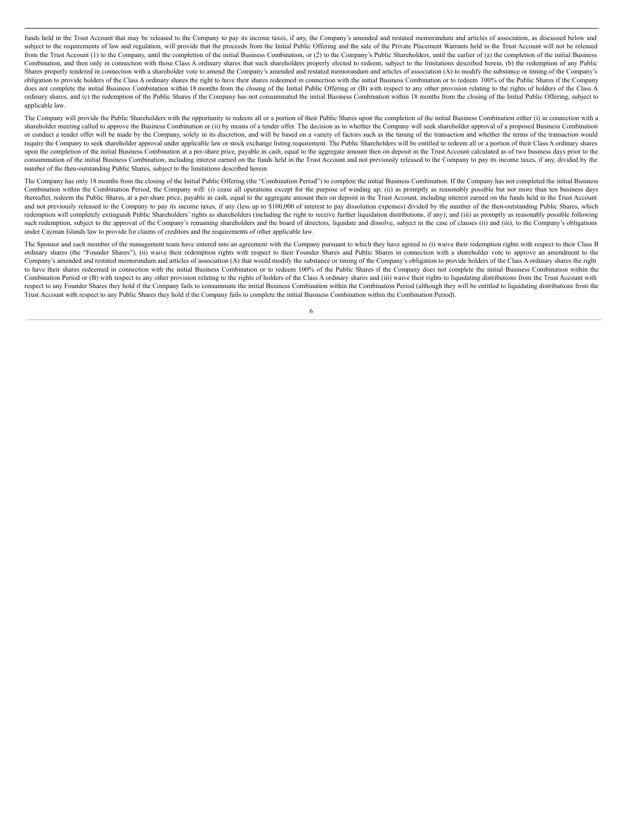funds held in the Trust Account that may be released to the Company to pay its income taxes, if any, the Company's amended and restated memorandum and articles of association, as discussed below and subject to the requirements of law and regulation, will provide that the proceeds from the Initial Public Offering and the sale of the Private Placement Warrants held in the Trust Account will not be released from the Trust Account (1) to the Company, until the completion of the initial Business Combination, or (2) to the Company's Public Shareholders, until the earlier of (a) the completion of the initial Business Combination, and then only in connection with those Class A ordinary shares that such shareholders properly elected to redeem, subject to the limitations described herein, (b) the redemption of any Public Shares properly tendered in connection with a shareholder vote to amend the Company's amended and restated memorandum and articles of association (A) to modify the substance or timing of the Company's obligation to provide holders of the Class A ordinary shares the right to have their shares redeemed in connection with the initial Business Combination or to redeem 100% of the Public Shares if the Company does not complete the initial Business Combination within 18 months from the closing of the Initial Public Offering or (B) with respect to any other provision relating to the rights of holders of the Class A ordinary shares, and (c) the redemption of the Public Shares if the Company has not consummated the initial Business Combination within 18 months from the closing of the Initial Public Offering, subject to applicable law.

The Company will provide the Public Shareholders with the opportunity to redeem all or a portion of their Public Shares upon the completion of the initial Business Combination either (i) in connection with a shareholder meeting called to approve the Business Combination or (ii) by means of a tender offer. The decision as to whether the Company will seek shareholder approval of a proposed Business Combination or conduct a tender offer will be made by the Company, solely in its discretion, and will be based on a variety of factors such as the timing of the transaction and whether the terms of the transaction would require the Company to seek shareholder approval under applicable law or stock exchange listing requirement. The Public Shareholders will be entitled to redeem all or a portion of their Class A ordinary shares upon the completion of the initial Business Combination at a per-share price, payable in cash, equal to the aggregate amount then on deposit in the Trust Account calculated as of two business days prior to the consummation of the initial Business Combination, including interest earned on the funds held in the Trust Account and not previously released to the Company to pay its income taxes, if any, divided by the number of the then-outstanding Public Shares, subject to the limitations described herein.

The Company has only 18 months from the closing of the Initial Public Offering (the "Combination Period") to complete the initial Business Combination. If the Company has not completed the initial Business Combination within the Combination Period, the Company will: (i) cease all operations except for the purpose of winding up; (ii) as promptly as reasonably possible but not more than ten business days thereafter, redeem the Public Shares, at a per-share price, payable in cash, equal to the aggregate amount then on deposit in the Trust Account, including interest earned on the funds held in the Trust Account and not previously released to the Company to pay its income taxes, if any (less up to \$100,000 of interest to pay dissolution expenses) divided by the number of the then-outstanding Public Shares, which redemption will completely extinguish Public Shareholders' rights as shareholders (including the right to receive further liquidation distributions, if any); and (iii) as promptly as reasonably possible following such redemption, subject to the approval of the Company's remaining shareholders and the board of directors, liquidate and dissolve, subject in the case of clauses (ii) and (iii), to the Company's obligations under Cayman Islands law to provide for claims of creditors and the requirements of other applicable law.

The Sponsor and each member of the management team have entered into an agreement with the Company pursuant to which they have agreed to (i) waive their redemption rights with respect to their Class B ordinary shares (the "Founder Shares"), (ii) waive their redemption rights with respect to their Founder Shares and Public Shares in connection with a shareholder vote to approve an amendment to the Company's amended and restated memorandum and articles of association (A) that would modify the substance or timing of the Company's obligation to provide holders of the Class A ordinary shares the right to have their shares redeemed in connection with the initial Business Combination or to redeem 100% of the Public Shares if the Company does not complete the initial Business Combination within the Combination Period or (B) with respect to any other provision relating to the rights of holders of the Class A ordinary shares and (iii) waive their rights to liquidating distributions from the Trust Account with respect to any Founder Shares they hold if the Company fails to consummate the initial Business Combination within the Combination Period (although they will be entitled to liquidating distributions from the Trust Account with respect to any Public Shares they hold if the Company fails to complete the initial Business Combination within the Combination Period).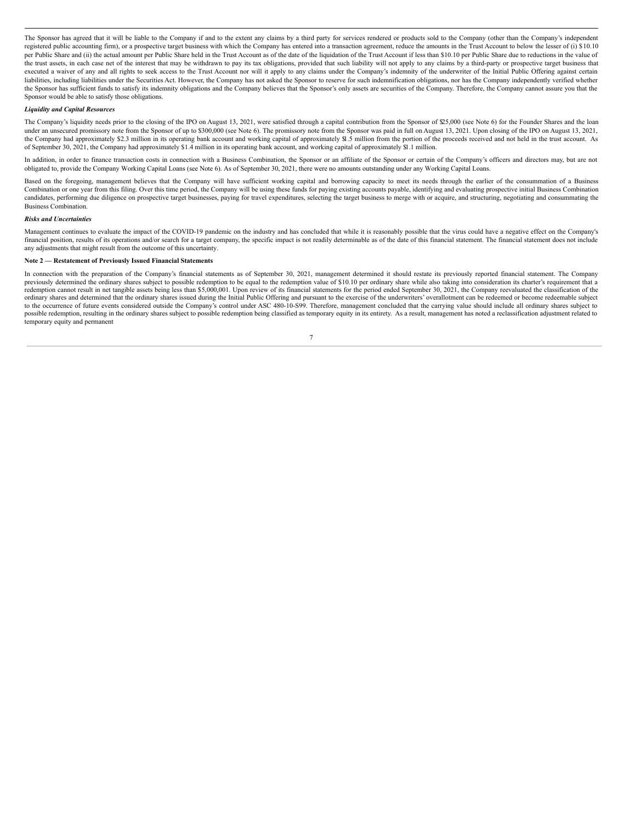The Sponsor has agreed that it will be liable to the Company if and to the extent any claims by a third party for services rendered or products sold to the Company (other than the Company's independent registered public accounting firm), or a prospective target business with which the Company has entered into a transaction agreement, reduce the amounts in the Trust Account to below the lesser of (i) \$10.10 per Public Share and (ii) the actual amount per Public Share held in the Trust Account as of the date of the liquidation of the Trust Account if less than \$10.10 per Public Share due to reductions in the value of the trust assets, in each case net of the interest that may be withdrawn to pay its tax obligations, provided that such liability will not apply to any claims by a third-party or prospective target business that executed a waiver of any and all rights to seek access to the Trust Account nor will it apply to any claims under the Company's indemnity of the underwriter of the Initial Public Offering against certain liabilities, including liabilities under the Securities Act. However, the Company has not asked the Sponsor to reserve for such indemnification obligations, nor has the Company independently verified whether the Sponsor has sufficient funds to satisfy its indemnity obligations and the Company believes that the Sponsor's only assets are securities of the Company. Therefore, the Company cannot assure you that the Sponsor would be able to satisfy those obligations.

#### *Liquidity and Capital Resources*

The Company's liquidity needs prior to the closing of the IPO on August 13, 2021, were satisfied through a capital contribution from the Sponsor of \$25,000 (see Note 6) for the Founder Shares and the loan under an unsecured promissory note from the Sponsor of up to \$300,000 (see Note 6). The promissory note from the Sponsor was paid in full on August 13, 2021. Upon closing of the IPO on August 13, 2021, the Company had approximately \$2.3 million in its operating bank account and working capital of approximately \$1.5 million from the portion of the proceeds received and not held in the trust account. As of September 30, 2021, the Company had approximately \$1.4 million in its operating bank account, and working capital of approximately \$1.1 million.

In addition, in order to finance transaction costs in connection with a Business Combination, the Sponsor or an affiliate of the Sponsor or certain of the Company's officers and directors may, but are not obligated to, provide the Company Working Capital Loans (see Note 6). As of September 30, 2021, there were no amounts outstanding under any Working Capital Loans.

Based on the foregoing, management believes that the Company will have sufficient working capital and borrowing capacity to meet its needs through the earlier of the consummation of a Business Combination or one year from this filing. Over this time period, the Company will be using these funds for paying existing accounts payable, identifying and evaluating prospective initial Business Combination candidates, performing due diligence on prospective target businesses, paying for travel expenditures, selecting the target business to merge with or acquire, and structuring, negotiating and consummating the Business Combination.

#### *Risks and Uncertainties*

Management continues to evaluate the impact of the COVID-19 pandemic on the industry and has concluded that while it is reasonably possible that the virus could have a negative effect on the Company's financial position, results of its operations and/or search for a target company, the specific impact is not readily determinable as of the date of this financial statement. The financial statement does not include any adjustments that might result from the outcome of this uncertainty.

#### **Note 2 — Restatement of Previously Issued Financial Statements**

In connection with the preparation of the Company's financial statements as of September 30, 2021, management determined it should restate its previously reported financial statement. The Company previously determined the ordinary shares subject to possible redemption to be equal to the redemption value of \$10.10 per ordinary share while also taking into consideration its charter's requirement that a redemption cannot result in net tangible assets being less than \$5,000,001. Upon review of its financial statements for the period ended September 30, 2021, the Company reevaluated the classification of the ordinary shares and determined that the ordinary shares issued during the Initial Public Offering and pursuant to the exercise of the underwriters' overallotment can be redeemed or become redeemable subject to the occurren possible redemption, resulting in the ordinary shares subject to possible redemption being classified as temporary equity in its entirety. As a result, management has noted a reclassification adjustment related to temporary equity and permanent

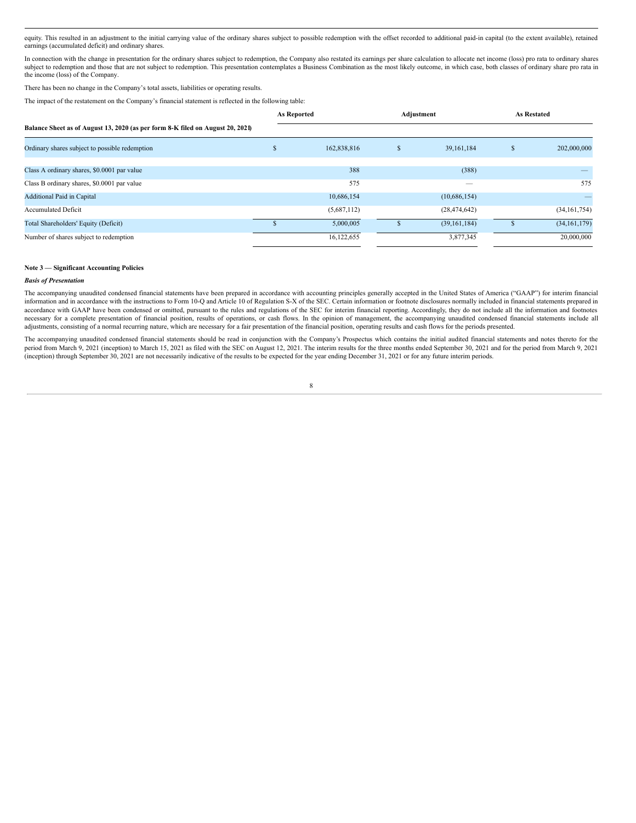equity. This resulted in an adjustment to the initial carrying value of the ordinary shares subject to possible redemption with the offset recorded to additional paid-in capital (to the extent available), retained earnings (accumulated deficit) and ordinary shares.

In connection with the change in presentation for the ordinary shares subject to redemption, the Company also restated its earnings per share calculation to allocate net income (loss) pro rata to ordinary shares subject to redemption and those that are not subject to redemption. This presentation contemplates a Business Combination as the most likely outcome, in which case, both classes of ordinary share pro rata in the income (loss) of the Company.

There has been no change in the Company's total assets, liabilities or operating results.

The impact of the restatement on the Company's financial statement is reflected in the following table:

|                                                                                | <b>As Reported</b> |             | Adjustment    |                | <b>As Restated</b> |                |  |  |  |  |
|--------------------------------------------------------------------------------|--------------------|-------------|---------------|----------------|--------------------|----------------|--|--|--|--|
| Balance Sheet as of August 13, 2020 (as per form 8-K filed on August 20, 2021) |                    |             |               |                |                    |                |  |  |  |  |
| Ordinary shares subject to possible redemption                                 | $\mathcal{S}$      | 162,838,816 | $\mathcal{L}$ | 39,161,184     | Э'n                | 202,000,000    |  |  |  |  |
| Class A ordinary shares, \$0.0001 par value                                    |                    | 388         |               | (388)          |                    |                |  |  |  |  |
| Class B ordinary shares, \$0.0001 par value                                    |                    | 575         |               |                |                    | 575            |  |  |  |  |
| <b>Additional Paid in Capital</b>                                              |                    | 10,686,154  |               | (10,686,154)   |                    |                |  |  |  |  |
| <b>Accumulated Deficit</b>                                                     |                    | (5,687,112) |               | (28, 474, 642) |                    | (34, 161, 754) |  |  |  |  |
| Total Shareholders' Equity (Deficit)                                           |                    | 5,000,005   |               | (39, 161, 184) |                    | (34, 161, 179) |  |  |  |  |
| Number of shares subject to redemption                                         |                    | 16,122,655  |               | 3,877,345      |                    | 20,000,000     |  |  |  |  |

#### **Note 3 — Significant Accounting Policies**

#### *Basis of Presentation*

The accompanying unaudited condensed financial statements have been prepared in accordance with accounting principles generally accepted in the United States of America ("GAAP") for interim financial information and in accordance with the instructions to Form 10-Q and Article 10 of Regulation S-X of the SEC. Certain information or footnote disclosures normally included in financial statements prepared in accordance with GAAP have been condensed or omitted, pursuant to the rules and regulations of the SEC for interim financial reporting. Accordingly, they do not include all the information and footnotes necessary for a complete presentation of financial position, results of operations, or cash flows. In the opinion of management, the accompanying unaudited condensed financial statements include all adjustments, consisting of a normal recurring nature, which are necessary for a fair presentation of the financial position, operating results and cash flows for the periods presented.

The accompanying unaudited condensed financial statements should be read in conjunction with the Company's Prospectus which contains the initial audited financial statements and notes thereto for the period from March 9, 2021 (inception) to March 15, 2021 as filed with the SEC on August 12, 2021. The interim results for the three months ended September 30, 2021 and for the period from March 9, 2021 (inception) through September 30, 2021 are not necessarily indicative of the results to be expected for the year ending December 31, 2021 or for any future interim periods.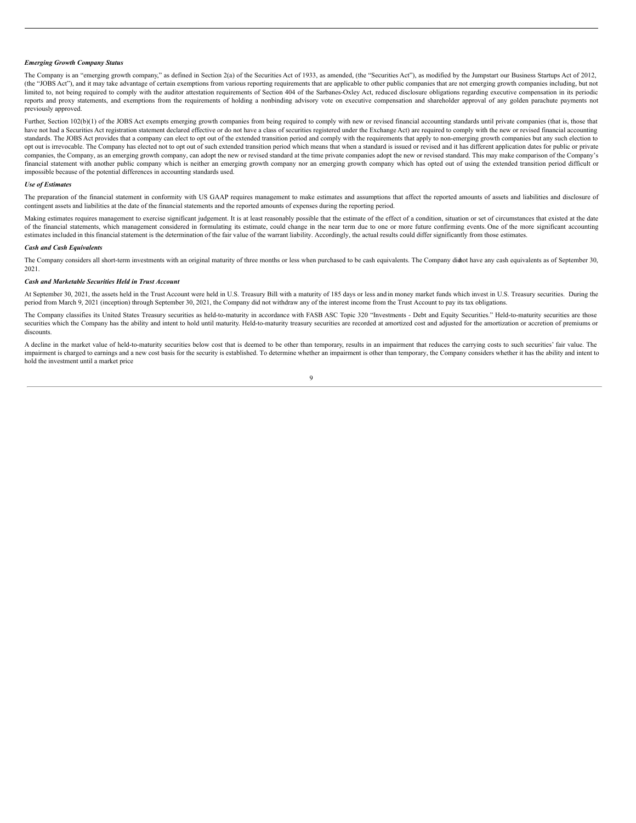# *Emerging Growth Company Status*

The Company is an "emerging growth company," as defined in Section 2(a) of the Securities Act of 1933, as amended, (the "Securities Act"), as modified by the Jumpstart our Business Startups Act of 2012, (the "JOBS Act"), and it may take advantage of certain exemptions from various reporting requirements that are applicable to other public companies that are not emerging growth companies including, but not limited to, not being required to comply with the auditor attestation requirements of Section 404 of the Sarbanes-Oxley Act, reduced disclosure obligations regarding executive compensation in its periodic reports and proxy statements, and exemptions from the requirements of holding a nonbinding advisory vote on executive compensation and shareholder approval of any golden parachute payments not previously approved.

Further, Section 102(b)(1) of the JOBS Act exempts emerging growth companies from being required to comply with new or revised financial accounting standards until private companies (that is, those that have not had a Securities Act registration statement declared effective or do not have a class of securities registered under the Exchange Act) are required to comply with the new or revised financial accounting standards. The JOBS Act provides that a company can elect to opt out of the extended transition period and comply with the requirements that apply to non-emerging growth companies but any such election to opt out is irrevocable. The Company has elected not to opt out of such extended transition period which means that when a standard is issued or revised and it has different application dates for public or private companies, the Company, as an emerging growth company, can adopt the new or revised standard at the time private companies adopt the new or revised standard. This may make comparison of the Company's financial statement with another public company which is neither an emerging growth company nor an emerging growth company which has opted out of using the extended transition period difficult or impossible because of the potential differences in accounting standards used.

# *Use of Estimates*

The preparation of the financial statement in conformity with US GAAP requires management to make estimates and assumptions that affect the reported amounts of assets and liabilities and disclosure of contingent assets and liabilities at the date of the financial statements and the reported amounts of expenses during the reporting period.

Making estimates requires management to exercise significant judgement. It is at least reasonably possible that the estimate of the effect of a condition, situation or set of circumstances that existed at the date of the financial statements, which management considered in formulating its estimate, could change in the near term due to one or more future confirming events. One of the more significant accounting estimates included in this financial statement is the determination of the fair value of the warrant liability. Accordingly, the actual results could differ significantly from those estimates.

#### *Cash and Cash Equivalents*

The Company considers all short-term investments with an original maturity of three months or less when purchased to be cash equivalents. The Company didnot have any cash equivalents as of September 30, 2021.

#### *Cash and Marketable Securities Held in Trust Account*

At September 30, 2021, the assets held in the Trust Account were held in U.S. Treasury Bill with a maturity of 185 days or less and in money market funds which invest in U.S. Treasury securities. During the period from March 9, 2021 (inception) through September 30, 2021, the Company did not withdraw any of the interest income from the Trust Account to pay its tax obligations.

The Company classifies its United States Treasury securities as held-to-maturity in accordance with FASB ASC Topic 320 "Investments - Debt and Equity Securities." Held-to-maturity securities are those securities which the Company has the ability and intent to hold until maturity. Held-to-maturity treasury securities are recorded at amortized cost and adjusted for the amortization or accretion of premiums or discounts.

A decline in the market value of held-to-maturity securities below cost that is deemed to be other than temporary, results in an impairment that reduces the carrying costs to such securities' fair value. The impairment is charged to earnings and a new cost basis for the security is established. To determine whether an impairment is other than temporary, the Company considers whether it has the ability and intent to hold the investment until a market price

 $\overline{9}$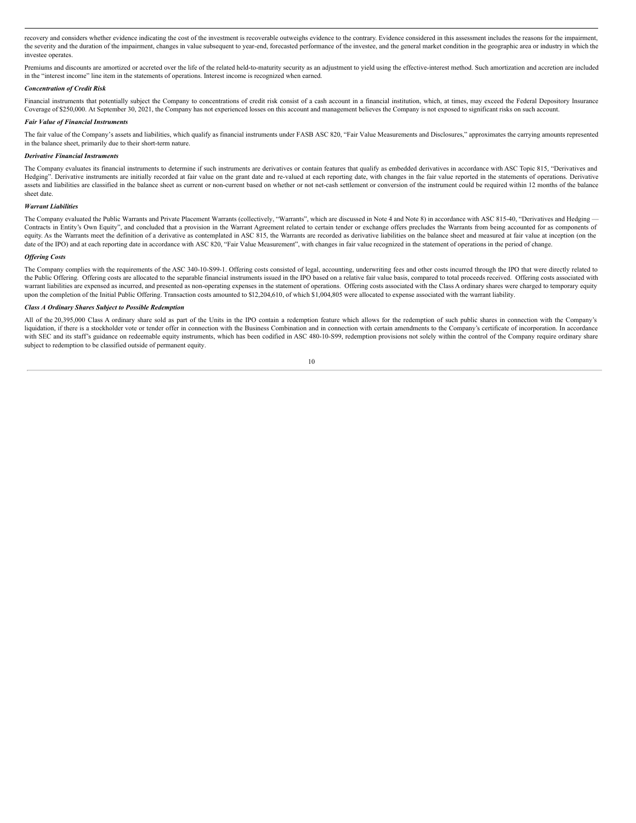recovery and considers whether evidence indicating the cost of the investment is recoverable outweighs evidence to the contrary. Evidence considered in this assessment includes the reasons for the impairment, the severity and the duration of the impairment, changes in value subsequent to year-end, forecasted performance of the investee, and the general market condition in the geographic area or industry in which the investee operates

Premiums and discounts are amortized or accreted over the life of the related held-to-maturity security as an adjustment to yield using the effective-interest method. Such amortization and accretion are included in the "interest income" line item in the statements of operations. Interest income is recognized when earned.

#### *Concentration of Credit Risk*

Financial instruments that potentially subject the Company to concentrations of credit risk consist of a cash account in a financial institution, which, at times, may exceed the Federal Depository Insurance Coverage of \$250,000. At September 30, 2021, the Company has not experienced losses on this account and management believes the Company is not exposed to significant risks on such account.

#### *Fair Value of Financial Instruments*

The fair value of the Company's assets and liabilities, which qualify as financial instruments under FASB ASC 820, "Fair Value Measurements and Disclosures," approximates the carrying amounts represented in the balance sheet, primarily due to their short-term nature.

#### *Derivative Financial Instruments*

The Company evaluates its financial instruments to determine if such instruments are derivatives or contain features that qualify as embedded derivatives in accordance with ASC Topic 815, "Derivatives and Hedging". Derivative instruments are initially recorded at fair value on the grant date and re-valued at each reporting date, with changes in the fair value reported in the statements of operations. Derivative assets and liabilities are classified in the balance sheet as current or non-current based on whether or not net-cash settlement or conversion of the instrument could be required within 12 months of the balance sheet date.

# *Warrant Liabilities*

The Company evaluated the Public Warrants and Private Placement Warrants (collectively, "Warrants", which are discussed in Note 4 and Note 8) in accordance with ASC 815-40, "Derivatives and Hedging -Contracts in Entity's Own Equity", and concluded that a provision in the Warrant Agreement related to certain tender or exchange offers precludes the Warrants from being accounted for as components of equity. As the Warrants meet the definition of a derivative as contemplated in ASC 815, the Warrants are recorded as derivative liabilities on the balance sheet and measured at fair value at inception (on the date of the IPO) and at each reporting date in accordance with ASC 820, "Fair Value Measurement", with changes in fair value recognized in the statement of operations in the period of change.

#### *Of ering Costs*

The Company complies with the requirements of the ASC 340-10-S99-1. Offering costs consisted of legal, accounting, underwriting fees and other costs incurred through the IPO that were directly related to the Public Offering. Offering costs are allocated to the separable financial instruments issued in the IPO based on a relative fair value basis, compared to total proceeds received. Offering costs associated with warrant liabilities are expensed as incurred, and presented as non-operating expenses in the statement of operations. Offering costs associated with the Class A ordinary shares were charged to temporary equity upon the completion of the Initial Public Offering. Transaction costs amounted to \$12,204,610, of which \$1,004,805 were allocated to expense associated with the warrant liability.

#### *Class A Ordinary Shares Subject to Possible Redemption*

All of the 20,395,000 Class A ordinary share sold as part of the Units in the IPO contain a redemption feature which allows for the redemption of such public shares in connection with the Company's liquidation, if there is a stockholder vote or tender offer in connection with the Business Combination and in connection with certain amendments to the Company's certificate of incorporation. In accordance with SEC and its staff's guidance on redeemable equity instruments, which has been codified in ASC 480-10-S99, redemption provisions not solely within the control of the Company require ordinary share subject to redemption to be classified outside of permanent equity.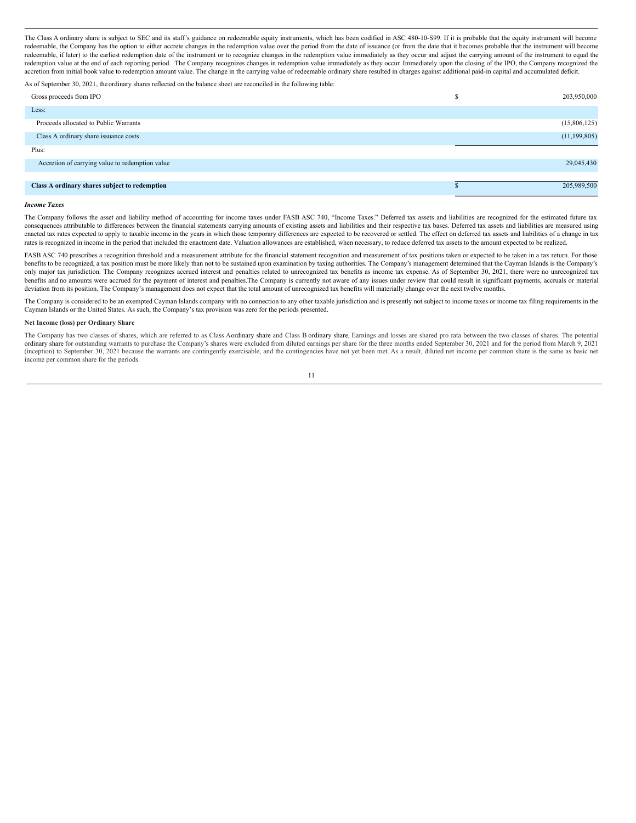The Class A ordinary share is subject to SEC and its staff's guidance on redeemable equity instruments, which has been codified in ASC 480-10-S99. If it is probable that the equity instrument will become redeemable, the Company has the option to either accrete changes in the redemption value over the period from the date of issuance (or from the date that it becomes probable that the instrument will become redeemable, if later) to the earliest redemption date of the instrument or to recognize changes in the redemption value immediately as they occur and adjust the carrying amount of the instrument to equal the redemption value at the end of each reporting period. The Company recognizes changes in redemption value immediately as they occur. Immediately upon the closing of the IPO, the Company recognized the accretion from initial book value to redemption amount value. The change in the carrying value of redeemable ordinary share resulted in charges against additional paid-in capital and accumulated deficit.

As of September 30, 2021, the ordinary shares reflected on the balance sheet are reconciled in the following table:

| Gross proceeds from IPO                         | 203,950,000    |
|-------------------------------------------------|----------------|
| Less:                                           |                |
| Proceeds allocated to Public Warrants           | (15,806,125)   |
| Class A ordinary share issuance costs           | (11, 199, 805) |
| Plus:                                           |                |
| Accretion of carrying value to redemption value | 29,045,430     |
|                                                 |                |
| Class A ordinary shares subject to redemption   | 205,989,500    |

# *Income Taxes*

The Company follows the asset and liability method of accounting for income taxes under FASB ASC 740, "Income Taxes." Deferred tax assets and liabilities are recognized for the estimated future tax consequences attributable to differences between the financial statements carrying amounts of existing assets and liabilities and their respective tax bases. Deferred tax assets and liabilities are measured using enacted tax rates expected to apply to taxable income in the years in which those temporary differences are expected to be recovered or settled. The effect on deferred tax assets and liabilities of a change in tax rates is recognized in income in the period that included the enactment date. Valuation allowances are established, when necessary, to reduce deferred tax assets to the amount expected to be realized.

FASB ASC 740 prescribes a recognition threshold and a measurement attribute for the financial statement recognition and measurement of tax positions taken or expected to be taken in a tax return. For those benefits to be recognized, a tax position must be more likely than not to be sustained upon examination by taxing authorities. The Company's management determined that the Cayman Islands is the Company's only major tax jurisdiction. The Company recognizes accrued interest and penalties related to unrecognized tax benefits as income tax expense. As of September 30, 2021, there were no unrecognized tax benefits and no amounts were accrued for the payment of interest and penalties.The Company is currently not aware of any issues under review that could result in significant payments, accruals or material deviation from its position. The Company's management does not expect that the total amount of unrecognized tax benefits will materially change over the next twelve months.

The Company is considered to be an exempted Cayman Islands company with no connection to any other taxable jurisdiction and is presently not subject to income taxes or income tax filing requirements in the Cayman Islands or the United States. As such, the Company's tax provision was zero for the periods presented.

#### **Net Income (loss) per Ordinary Share**

The Company has two classes of shares, which are referred to as Class Aordinary share and Class B ordinary share. Earnings and losses are shared pro rata between the two classes of shares. The potential<br>ordinary share for (inception) to September 30, 2021 because the warrants are contingently exercisable, and the contingencies have not yet been met. As a result, diluted net income per common share is the same as basic net income per common share for the periods.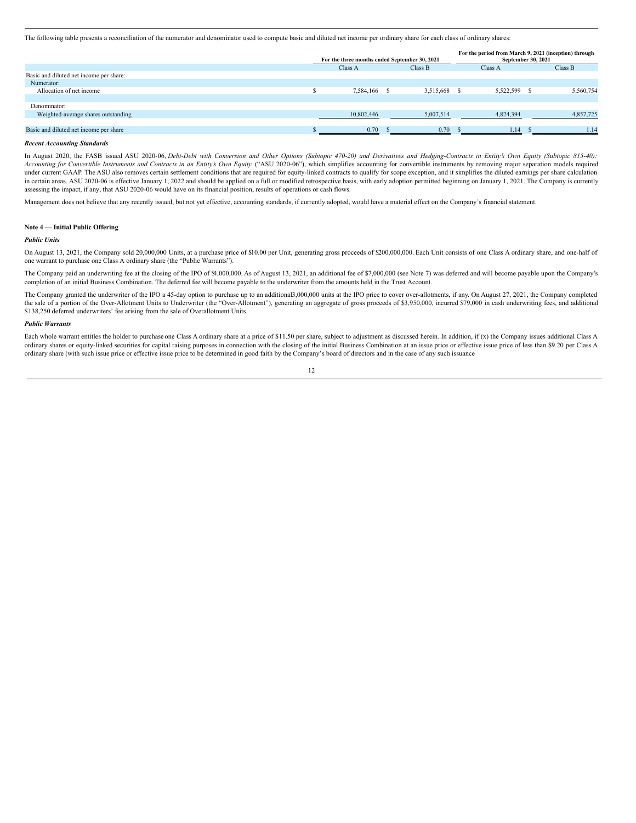The following table presents a reconciliation of the numerator and denominator used to compute basic and diluted net income per ordinary share for each class of ordinary shares:

|                                         | For the three months ended September 30, 2021 | For the period from March 9, 2021 (inception) through<br>September 30, 2021 |         |              |  |           |
|-----------------------------------------|-----------------------------------------------|-----------------------------------------------------------------------------|---------|--------------|--|-----------|
|                                         | Class A                                       | Class B                                                                     | Class A |              |  | Class B   |
| Basic and diluted net income per share: |                                               |                                                                             |         |              |  |           |
| Numerator:                              |                                               |                                                                             |         |              |  |           |
| Allocation of net income                | 7,584,166                                     | 3,515,668                                                                   | - S     | 5,522,599 \$ |  | 5,560,754 |
|                                         |                                               |                                                                             |         |              |  |           |
| Denominator:                            |                                               |                                                                             |         |              |  |           |
| Weighted-average shares outstanding     | 10,802,446                                    | 5,007,514                                                                   |         | 4,824,394    |  | 4,857,725 |
|                                         |                                               |                                                                             |         |              |  |           |
| Basic and diluted net income per share  | 0.70                                          | 0.70                                                                        |         | 1.14         |  | 1.14      |
|                                         |                                               |                                                                             |         |              |  |           |

#### *Recent Accounting Standards*

In August 2020, the FASB issued ASU 2020-06, Debt-Debt with Conversion and Other Options (Subtopic 470-20) and Derivatives and Hedging-Contracts in Entity's Own Equity (Subtopic 815-40): Accounting for Convertible Instruments and Contracts in an Entity's Own Equity ("ASU 2020-06"), which simplifies accounting for convertible instruments by removing major separation models required under current GAAP. The ASU also removes certain settlement conditions that are required for equity-linked contracts to qualify for scope exception, and it simplifies the diluted earnings per share calculation in certain areas. ASU 2020-06 is effective January 1, 2022 and should be applied on a full or modified retrospective basis, with early adoption permitted beginning on January 1, 2021. The Company is currently assessing the impact, if any, that ASU 2020-06 would have on its financial position, results of operations or cash flows.

Management does not believe that any recently issued, but not yet effective, accounting standards, if currently adopted, would have a material effect on the Company's financial statement.

# **Note 4 — Initial Public Offering**

#### *Public Units*

On August 13, 2021, the Company sold 20,000,000 Units, at a purchase price of \$10.00 per Unit, generating gross proceeds of \$200,000,000. Each Unit consists of one Class A ordinary share, and one-half of one warrant to purchase one Class A ordinary share (the "Public Warrants").

The Company paid an underwriting fee at the closing of the IPO of \$4,000,000. As of August 13, 2021, an additional fee of \$7,000,000 (see Note 7) was deferred and will become payable upon the Company's completion of an initial Business Combination. The deferred fee will become payable to the underwriter from the amounts held in the Trust Account.

The Company granted the underwriter of the IPO a 45-day option to purchase up to an additional3,000,000 units at the IPO price to cover over-allotments, if any. On August 27, 2021, the Company completed the sale of a portion of the Over-Allotment Units to Underwriter (the "Over-Allotment"), generating an aggregate of gross proceeds of \$3,950,000, incurred \$79,000 in cash underwriting fees, and additional \$138,250 deferred underwriters' fee arising from the sale of Overallotment Units.

#### *Public Warrants*

Each whole warrant entitles the holder to purchase one Class A ordinary share at a price of \$11.50 per share, subject to adjustment as discussed herein. In addition, if (x) the Company issues additional Class A ordinary shares or equity-linked securities for capital raising purposes in connection with the closing of the initial Business Combination at an issue price or effective issue price of less than \$9.20 per Class A ordinary share (with such issue price or effective issue price to be determined in good faith by the Company's board of directors and in the case of any such issuance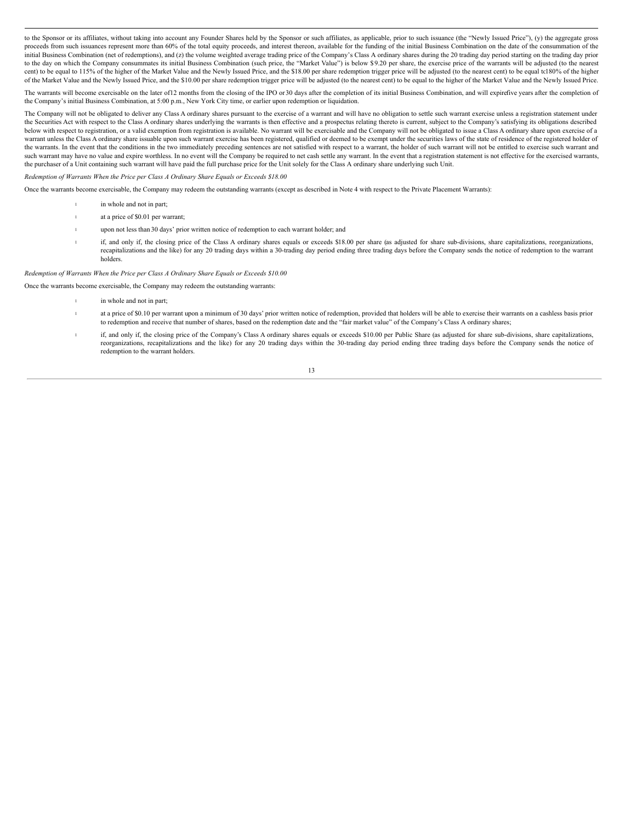to the Sponsor or its affiliates, without taking into account any Founder Shares held by the Sponsor or such affiliates, as applicable, prior to such issuance (the "Newly Issued Price"), (y) the aggregate gross proceeds from such issuances represent more than 60% of the total equity proceeds, and interest thereon, available for the funding of the initial Business Combination on the date of the consummation of the initial Business Combination (net of redemptions), and (z) the volume weighted average trading price of the Company's Class A ordinary shares during the 20 trading day period starting on the trading day prior to the day on which the Company consummates its initial Business Combination (such price, the "Market Value") is below \$9.20 per share, the exercise price of the warrants will be adjusted (to the nearest cent) to be equal to 115% of the higher of the Market Value and the Newly Issued Price, and the \$18.00 per share redemption trigger price will be adjusted (to the nearest cent) to be equal to180% of the higher of the Market Value and the Newly Issued Price, and the \$10.00 per share redemption trigger price will be adjusted (to the nearest cent) to be equal to the higher of the Market Value and the Newly Issued Price.

The warrants will become exercisable on the later of12 months from the closing of the IPO or 30 days after the completion of its initial Business Combination, and will expirefive years after the completion of the Company's initial Business Combination, at 5:00 p.m., New York City time, or earlier upon redemption or liquidation.

The Company will not be obligated to deliver any Class A ordinary shares pursuant to the exercise of a warrant and will have no obligation to settle such warrant exercise unless a registration statement under the Securities Act with respect to the Class A ordinary shares underlying the warrants is then effective and a prospectus relating thereto is current, subject to the Company's satisfying its obligations described below with respect to registration, or a valid exemption from registration is available. No warrant will be exercisable and the Company will not be obligated to issue a Class A ordinary share upon exercise of a warrant unless the Class A ordinary share issuable upon such warrant exercise has been registered, qualified or deemed to be exempt under the securities laws of the state of residence of the registered holder of the warrants. In the event that the conditions in the two immediately preceding sentences are not satisfied with respect to a warrant, the holder of such warrant will not be entitled to exercise such warrant and such warrant may have no value and expire worthless. In no event will the Company be required to net cash settle any warrant. In the event that a registration statement is not effective for the exercised warrants, the purchaser of a Unit containing such warrant will have paid the full purchase price for the Unit solely for the Class A ordinary share underlying such Unit.

*Redemption of Warrants When the Price per Class A Ordinary Share Equals or Exceeds \$18.00*

Once the warrants become exercisable, the Company may redeem the outstanding warrants (except as described in Note 4 with respect to the Private Placement Warrants):

- <sup>l</sup> in whole and not in part;
- <sup>l</sup> at a price of \$0.01 per warrant;
- <sup>l</sup> upon not less than 30 days' prior written notice of redemption to each warrant holder; and
- <sup>l</sup> if, and only if, the closing price of the Class A ordinary shares equals or exceeds \$18.00 per share (as adjusted for share sub-divisions, share capitalizations, reorganizations, recapitalizations and the like) for any 20 trading days within a 30-trading day period ending three trading days before the Company sends the notice of redemption to the warrant holders.

*Redemption of Warrants When the Price per Class A Ordinary Share Equals or Exceeds \$10.00*

Once the warrants become exercisable, the Company may redeem the outstanding warrants:

- in whole and not in part;
- <sup>l</sup> at a price of \$0.10 per warrant upon a minimum of 30 days' prior written notice of redemption, provided that holders will be able to exercise their warrants on a cashless basis prior to redemption and receive that number of shares, based on the redemption date and the "fair market value" of the Company's Class A ordinary shares;
- if, and only if, the closing price of the Company's Class A ordinary shares equals or exceeds \$10.00 per Public Share (as adjusted for share sub-divisions, share capitalizations, reorganizations, recapitalizations and the like) for any 20 trading days within the 30-trading day period ending three trading days before the Company sends the notice of redemption to the warrant holders.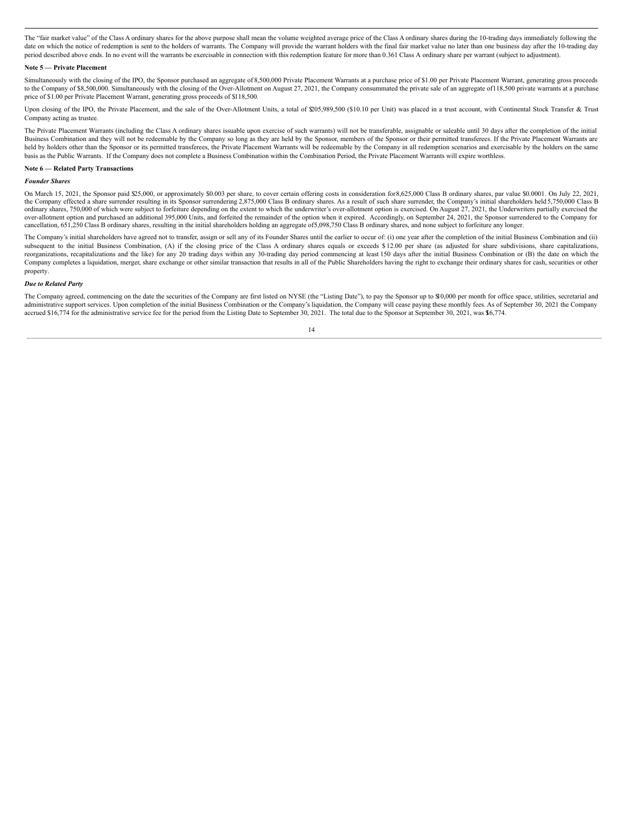The "fair market value" of the Class A ordinary shares for the above purpose shall mean the volume weighted average price of the Class A ordinary shares during the 10-trading days immediately following the date on which the notice of redemption is sent to the holders of warrants. The Company will provide the warrant holders with the final fair market value no later than one business day after the 10-trading day period described above ends. In no event will the warrants be exercisable in connection with this redemption feature for more than 0.361 Class A ordinary share per warrant (subject to adjustment).

#### **Note 5 — Private Placement**

Simultaneously with the closing of the IPO, the Sponsor purchased an aggregate of 8,500,000 Private Placement Warrants at a purchase price of \$1.00 per Private Placement Warrant, generating gross proceeds to the Company of \$8,500,000. Simultaneously with the closing of the Over-Allotment on August 27, 2021, the Company consummated the private sale of an aggregate of 118,500 private warrants at a purchase price of \$1.00 per Private Placement Warrant, generating gross proceeds of \$118,500.

Upon closing of the IPO, the Private Placement, and the sale of the Over-Allotment Units, a total of \$205,989,500 (\$10.10 per Unit) was placed in a trust account, with Continental Stock Transfer & Trust Company acting as trustee.

The Private Placement Warrants (including the Class A ordinary shares issuable upon exercise of such warrants) will not be transferable, assignable or saleable until 30 days after the completion of the initial Business Combination and they will not be redeemable by the Company so long as they are held by the Sponsor, members of the Sponsor or their permitted transferees. If the Private Placement Warrants are held by holders other than the Sponsor or its permitted transferees, the Private Placement Warrants will be redeemable by the Company in all redemption scenarios and exercisable by the holders on the same basis as the Public Warrants. If the Company does not complete a Business Combination within the Combination Period, the Private Placement Warrants will expire worthless.

#### **Note 6 — Related Party Transactions**

# *Founder* Share

On March 15, 2021, the Sponsor paid \$25,000, or approximately \$0.003 per share, to cover certain offering costs in consideration for8,625,000 Class B ordinary shares, par value \$0.0001. On July 22, 2021, the Company effected a share surrender resulting in its Sponsor surrendering 2,875,000 Class B ordinary shares. As a result of such share surrender, the Company's initial shareholders held 5,750,000 Class B ordinary shares, 750,000 of which were subject to forfeiture depending on the extent to which the underwriter's over-allotment option is exercised. On August 27, 2021, the Underwriters partially exercised the over-allotment option and purchased an additional 395,000 Units, and forfeited the remainder of the option when it expired. Accordingly, on September 24, 2021, the Sponsor surrendered to the Company for cancellation, 651,250 Class B ordinary shares, resulting in the initial shareholders holding an aggregate of5,098,750 Class B ordinary shares, and none subject to forfeiture any longer.

The Company's initial shareholders have agreed not to transfer, assign or sell any of its Founder Shares until the earlier to occur of: (i) one year after the completion of the initial Business Combination and (ii) subsequent to the initial Business Combination, (A) if the closing price of the Class A ordinary shares equals or exceeds \$ 12.00 per share (as adjusted for share subdivisions, share capitalizations, reorganizations, recapitalizations and the like) for any 20 trading days within any 30-trading day period commencing at least 150 days after the initial Business Combination or (B) the date on which the Company completes a liquidation, merger, share exchange or other similar transaction that results in all of the Public Shareholders having the right to exchange their ordinary shares for cash, securities or other property.

#### *Due to Related Party*

The Company agreed, commencing on the date the securities of the Company are first listed on NYSE (the "Listing Date"), to pay the Sponsor up to \$10,000 per month for office space, utilities, secretarial and administrative support services. Upon completion of the initial Business Combination or the Company's liquidation, the Company will cease paying these monthly fees. As of September 30, 2021 the Company accrued \$16,774 for the administrative service fee for the period from the Listing Date to September 30, 2021. The total due to the Sponsor at September 30, 2021, was \$6,774.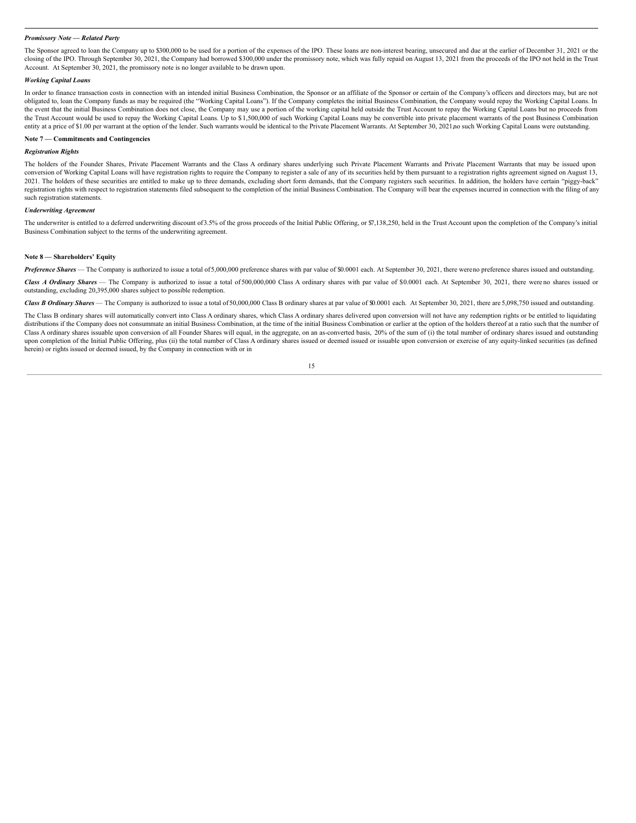#### *Promissory Note — Related Party*

The Sponsor agreed to loan the Company up to \$300,000 to be used for a portion of the expenses of the IPO. These loans are non-interest bearing, unsecured and due at the earlier of December 31, 2021 or the closing of the IPO. Through September 30, 2021, the Company had borrowed \$300,000 under the promissory note, which was fully repaid on August 13, 2021 from the proceeds of the IPO not held in the Trust Account. At September 30, 2021, the promissory note is no longer available to be drawn upon.

#### *Working Capital Loans*

In order to finance transaction costs in connection with an intended initial Business Combination, the Sponsor or an affiliate of the Sponsor or certain of the Company's officers and directors may, but are not obligated to, loan the Company funds as may be required (the "Working Capital Loans"). If the Company completes the initial Business Combination, the Company would repay the Working Capital Loans. In the event that the initial Business Combination does not close, the Company may use a portion of the working capital held outside the Trust Account to repay the Working Capital Loans but no proceeds from the Trust Account would be used to repay the Working Capital Loans. Up to \$1,500,000 of such Working Capital Loans may be convertible into private placement warrants of the post Business Combination entity at a price of \$1.00 per warrant at the option of the lender. Such warrants would be identical to the Private Placement Warrants. At September 30, 2021,no such Working Capital Loans were outstanding.

# **Note 7 — Commitments and Contingencies**

# *Registration Rights*

The holders of the Founder Shares, Private Placement Warrants and the Class A ordinary shares underlying such Private Placement Warrants and Private Placement Warrants that may be issued upon conversion of Working Capital Loans will have registration rights to require the Company to register a sale of any of its securities held by them pursuant to a registration rights agreement signed on August 13, 2021. The holders of these securities are entitled to make up to three demands, excluding short form demands, that the Company registers such securities. In addition, the holders have certain "piggy-back" registration rights with respect to registration statements filed subsequent to the completion of the initial Business Combination. The Company will bear the expenses incurred in connection with the filing of any such registration statements.

#### *Underwriting Agreement*

The underwriter is entitled to a deferred underwriting discount of 3.5% of the gross proceeds of the Initial Public Offering, or \$7,138,250, held in the Trust Account upon the completion of the Company's initial Business Combination subject to the terms of the underwriting agreement.

#### **Note 8 — Shareholders' Equity**

*Preference Shares* — The Company is authorized to issue a total of5,000,000 preference shares with par value of \$0.0001 each. At September 30, 2021, there wereno preference shares issued and outstanding.

*Class A Ordinary Shares* — The Company is authorized to issue a total of 500,000,000 Class A ordinary shares with par value of \$0.0001 each. At September 30, 2021, there were no shares issued or outstanding, excluding 20,395,000 shares subject to possible redemption.

Class B Ordinary Shares - The Company is authorized to issue a total of 50,000,000 Class B ordinary shares at par value of \$0.0001 each. At September 30, 2021, there are 5,098,750 issued and outstanding.

The Class B ordinary shares will automatically convert into Class A ordinary shares, which Class A ordinary shares delivered upon conversion will not have any redemption rights or be entitled to liquidating distributions if the Company does not consummate an initial Business Combination, at the time of the initial Business Combination or earlier at the option of the holders thereof at a ratio such that the number of Class A ordinary shares issuable upon conversion of all Founder Shares will equal, in the aggregate, on an as-converted basis, 20% of the sum of (i) the total number of ordinary shares issued and outstanding upon completion of the Initial Public Offering, plus (ii) the total number of Class A ordinary shares issued or deemed issued or issuable upon conversion or exercise of any equity-linked securities (as defined herein) or rights issued or deemed issued, by the Company in connection with or in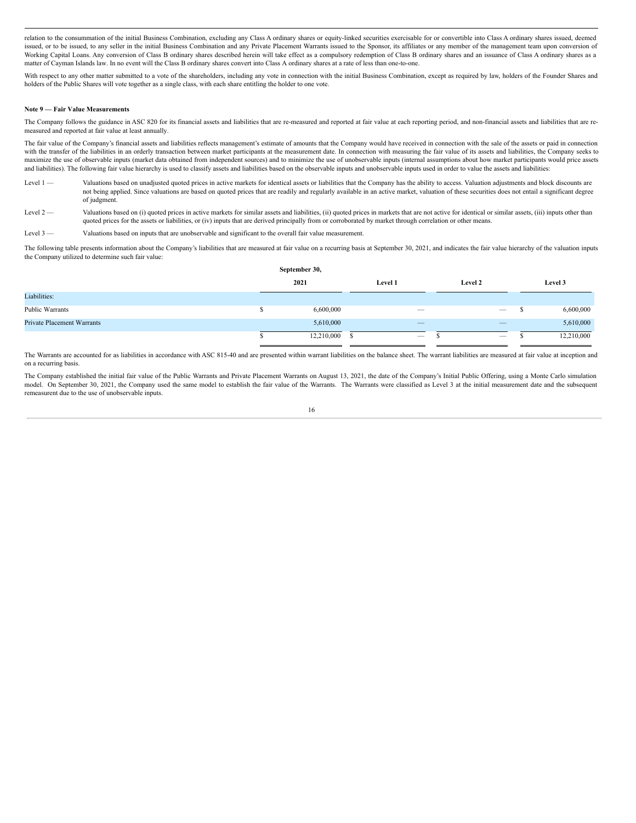relation to the consummation of the initial Business Combination, excluding any Class A ordinary shares or equity-linked securities exercisable for or convertible into Class A ordinary shares issued, deemed issued, or to be issued, to any seller in the initial Business Combination and any Private Placement Warrants issued to the Sponsor, its affiliates or any member of the management team upon conversion of Working Capital Loans. Any conversion of Class B ordinary shares described herein will take effect as a compulsory redemption of Class B ordinary shares and an issuance of Class A ordinary shares as a matter of Cayman Islands law. In no event will the Class B ordinary shares convert into Class A ordinary shares at a rate of less than one-to-one.

With respect to any other matter submitted to a vote of the shareholders, including any vote in connection with the initial Business Combination, except as required by law, holders of the Founder Shares and holders of the Public Shares will vote together as a single class, with each share entitling the holder to one vote.

#### **Note 9 — Fair Value Measurements**

The Company follows the guidance in ASC 820 for its financial assets and liabilities that are re-measured and reported at fair value at each reporting period, and non-financial assets and liabilities that are remeasured and reported at fair value at least annually.

The fair value of the Company's financial assets and liabilities reflects management's estimate of amounts that the Company would have received in connection with the sale of the assets or paid in connection with the transfer of the liabilities in an orderly transaction between market participants at the measurement date. In connection with measuring the fair value of its assets and liabilities, the Company seeks to maximize the use of observable inputs (market data obtained from independent sources) and to minimize the use of unobservable inputs (internal assumptions about how market participants would price assets and liabilities). The following fair value hierarchy is used to classify assets and liabilities based on the observable inputs and unobservable inputs used in order to value the assets and liabilities:

- Level 1 Valuations based on unadjusted quoted prices in active markets for identical assets or liabilities that the Company has the ability to access. Valuation adjustments and block discounts are not being applied. Since valuations are based on quoted prices that are readily and regularly available in an active market, valuation of these securities does not entail a significant degree of judgment.
- Level 2 Valuations based on (i) quoted prices in active markets for similar assets and liabilities, (ii) quoted prices in markets that are not active for identical or similar assets, (iii) inputs other than quoted prices for the assets or liabilities, or (iv) inputs that are derived principally from or corroborated by market through correlation or other means.
- Level 3 Valuations based on inputs that are unobservable and significant to the overall fair value measurement.

The following table presents information about the Company's liabilities that are measured at fair value on a recurring basis at September 30, 2021, and indicates the fair value hierarchy of the valuation inputs the Company utilized to determine such fair value:

|                                   |  | September 30, |                          |                                 |         |            |
|-----------------------------------|--|---------------|--------------------------|---------------------------------|---------|------------|
|                                   |  | 2021          | Level 1                  | Level 2                         | Level 3 |            |
| Liabilities:                      |  |               |                          |                                 |         |            |
| Public Warrants                   |  | 6,600,000     | $\overline{\phantom{a}}$ | $\hspace{0.1mm}-\hspace{0.1mm}$ |         | 6,600,000  |
| <b>Private Placement Warrants</b> |  | 5,610,000     | $\overline{\phantom{m}}$ |                                 |         | 5,610,000  |
|                                   |  | 12,210,000    | $\overline{\phantom{a}}$ | $\hspace{0.1mm}-\hspace{0.1mm}$ |         | 12,210,000 |

The Warrants are accounted for as liabilities in accordance with ASC 815-40 and are presented within warrant liabilities on the balance sheet. The warrant liabilities are measured at fair value at inception and on a recurring basis.

The Company established the initial fair value of the Public Warrants and Private Placement Warrants on August 13, 2021, the date of the Company's Initial Public Offering, using a Monte Carlo simulation model. On September 30, 2021, the Company used the same model to establish the fair value of the Warrants. The Warrants were classified as Level 3 at the initial measurement date and the subsequent remeasurent due to the use of unobservable inputs.

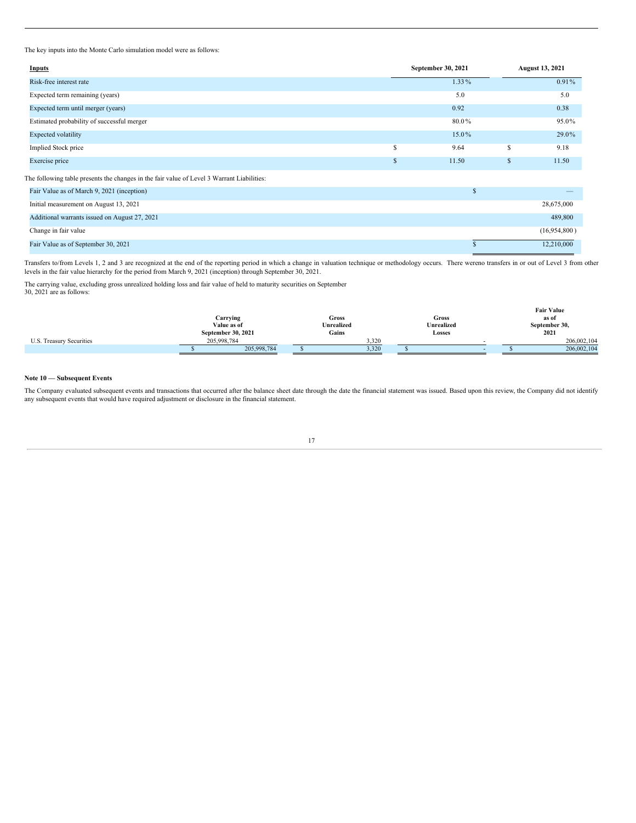The key inputs into the Monte Carlo simulation model were as follows:

| <b>Inputs</b>                                                                              |               | September 30, 2021 |               | <b>August 13, 2021</b> |
|--------------------------------------------------------------------------------------------|---------------|--------------------|---------------|------------------------|
| Risk-free interest rate                                                                    |               | 1.33%              |               | $0.91\%$               |
| Expected term remaining (years)                                                            |               | 5.0                |               | 5.0                    |
| Expected term until merger (years)                                                         |               | 0.92               |               | 0.38                   |
| Estimated probability of successful merger                                                 |               | 80.0%              |               | 95.0%                  |
| <b>Expected volatility</b>                                                                 |               | 15.0%              |               | 29.0%                  |
| Implied Stock price                                                                        | \$            | 9.64               | £.            | 9.18                   |
| Exercise price                                                                             | <sup>\$</sup> | 11.50              | <sup>\$</sup> | 11.50                  |
| The following table presents the changes in the fair value of Level 3 Warrant Liabilities: |               |                    |               |                        |
| Fair Value as of March 9, 2021 (inception)                                                 |               | $\mathbb{S}$       |               |                        |
| Initial measurement on August 13, 2021                                                     |               |                    |               | 28,675,000             |
| Additional warrants issued on August 27, 2021                                              |               |                    |               | 489,800                |
| Change in fair value                                                                       |               |                    |               | (16,954,800)           |
| Fair Value as of September 30, 2021                                                        |               |                    |               | 12,210,000             |

Transfers to/from Levels 1, 2 and 3 are recognized at the end of the reporting period in which a change in valuation technique or methodology occurs. There wereno transfers in or out of Level 3 from other levels in the fair value hierarchy for the period from March 9, 2021 (inception) through September 30, 2021.

The carrying value, excluding gross unrealized holding loss and fair value of held to maturity securities on September 30, 2021 are as follows:

|                          |                         |             |       |       |       |  |            |  |               | <b>Fair Value</b> |  |  |
|--------------------------|-------------------------|-------------|-------|-------|-------|--|------------|--|---------------|-------------------|--|--|
|                          | Carrying<br>Value as of |             | Gross |       |       |  | Gross      |  | as of         |                   |  |  |
|                          |                         |             |       |       |       |  | Unrealized |  | September 30, |                   |  |  |
|                          | September 30, 2021      |             |       | Gains |       |  | Losses     |  |               | 2021              |  |  |
| U.S. Treasury Securities | 205,998,784             |             |       |       | 3,320 |  |            |  |               | 206,002,104       |  |  |
|                          |                         | 205,998,784 |       |       | 3,320 |  |            |  |               | 206,002,104       |  |  |

# **Note 10 — Subsequent Events**

The Company evaluated subsequent events and transactions that occurred after the balance sheet date through the date the financial statement was issued. Based upon this review, the Company did not identify any subsequent events that would have required adjustment or disclosure in the financial statement.

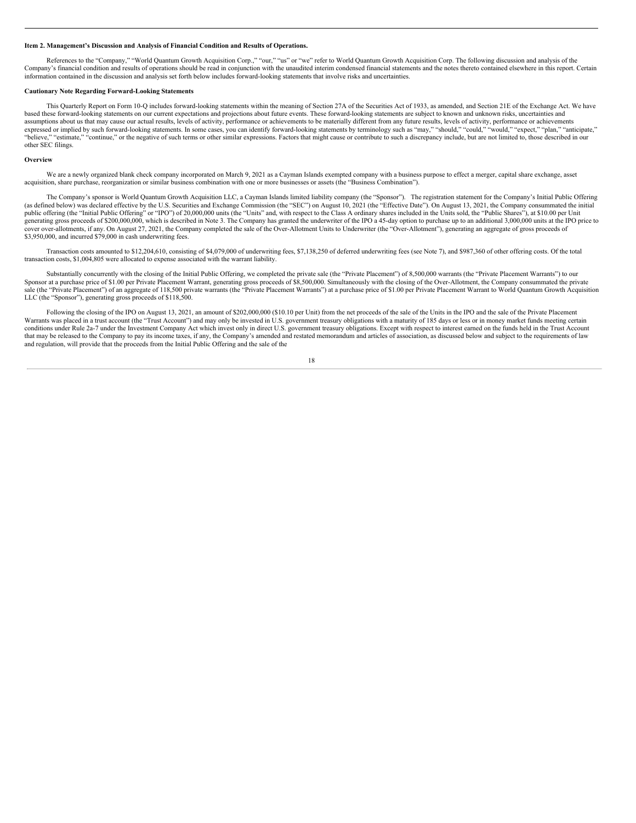#### <span id="page-21-0"></span>**Item 2. Management's Discussion and Analysis of Financial Condition and Results of Operations.**

References to the "Company," "World Quantum Growth Acquisition Corp.," "our," "us" or "we" refer to World Quantum Growth Acquisition Corp. The following discussion and analysis of the Company's financial condition and results of operations should be read in conjunction with the unaudited interim condensed financial statements and the notes thereto contained elsewhere in this report. Certain information contained in the discussion and analysis set forth below includes forward-looking statements that involve risks and uncertainties.

#### **Cautionary Note Regarding Forward-Looking Statements**

This Quarterly Report on Form 10-Q includes forward-looking statements within the meaning of Section 27A of the Eccurities Act of 1933, as amended, and Section 21E of the Exchange Act. We have based these forward-looking statements on our current expectations and projections about future events. These forward-looking statements are subject to known and unknown risks, uncertainties and assumptions about us that may cause our actual results, levels of activity, performance or achievements to be materially different from any future results, levels of activity, performance or achievements expressed or implied by such forward-looking statements. In some cases, you can identify forward-looking statements by terminology such as "may," "should," "could," "would," "expect," "plan," "anticipate," "believe," "estimate," "continue," or the negative of such terms or other similar expressions. Factors that might cause or contribute to such a discrepancy include, but are not limited to, those described in our other SEC filings.

#### **Overview**

We are a newly organized blank check company incorporated on March 9, 2021 as a Cayman Islands exempted company with a business purpose to effect a merger, capital share exchange, asset acquisition, share purchase, reorganization or similar business combination with one or more businesses or assets (the "Business Combination").

The Company's sponsor is World Quantum Growth Acquisition LLC, a Cayman Islands limited liability company (the "Sponsor"). The registration statement for the Company's Initial Public Offering (as defined below) was declared effective by the U.S. Securities and Exchange Commission (the "SEC") on August 10, 2021 (the "Effective Date"). On August 13, 2021, the Company consummated the initial public offering (the "Initial Public Offering" or "IPO") of 20,000,000 units (the "Units" and, with respect to the Class A ordinary shares included in the Units sold, the "Public Shares"), at \$10.00 per Unit generating gross proceeds of \$200,000,000, which is described in Note 3. The Company has granted the underwriter of the IPO a 45-day option to purchase up to an additional 3,000,000 units at the IPO price to cover over-allotments, if any. On August 27, 2021, the Company completed the sale of the Over-Allotment Units to Underwriter (the "Over-Allotment"), generating an aggregate of gross proceeds of \$3,950,000, and incurred \$79,000 in cash underwriting fees.

Transaction costs amounted to \$12,204,610, consisting of \$4,079,000 of underwriting fees, \$7,138,250 of deferred underwriting fees (see Note 7), and \$987,360 of other offering costs. Of the total transaction costs, \$1,004,805 were allocated to expense associated with the warrant liability.

Substantially concurrently with the closing of the Initial Public Offering, we completed the private sale (the "Private Placement") of 8,500,000 warrants (the "Private Placement Warrants") to our Sponsor at a purchase price of \$1.00 per Private Placement Warrant, generating gross proceeds of \$8,500,000. Simultaneously with the closing of the Over-Allotment, the Company consummated the private sale (the "Private Placement") of an aggregate of 118,500 private warrants (the "Private Placement Warrants") at a purchase price of \$1.00 per Private Placement Warrant to World Quantum Growth Acquisition LLC (the "Sponsor"), generating gross proceeds of \$118,500.

Following the closing of the IPO on August 13, 2021, an amount of \$202,000,000 (\$10.10 per Unit) from the net proceeds of the sale of the Units in the IPO and the sale of the Private Placement Warrants was placed in a trust account (the "Trust Account") and may only be invested in U.S. government treasury obligations with a maturity of 185 days or less or in money market funds meeting certain conditions under Rule 2a-7 under the Investment Company Act which invest only in direct U.S. government treasury obligations. Except with respect to interest earned on the funds held in the Trust Account that may be released to the Company to pay its income taxes, if any, the Company's amended and restated memorandum and articles of association, as discussed below and subject to the requirements of law<br>and regulation, will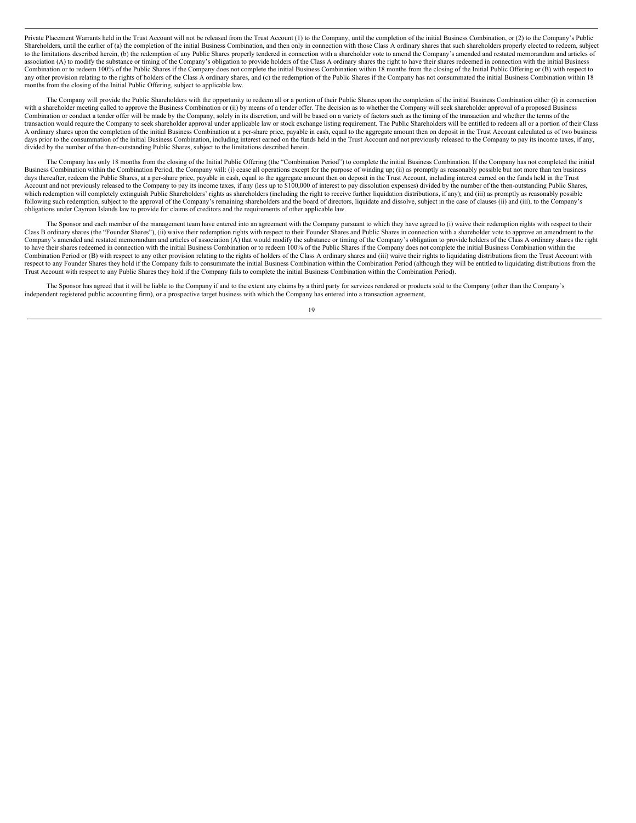Private Placement Warrants held in the Trust Account will not be released from the Trust Account (1) to the Company, until the completion of the initial Business Combination, or (2) to the Company's Public Shareholders, until the earlier of (a) the completion of the initial Business Combination, and then only in connection with those Class A ordinary shares that such shareholders properly elected to redeem, subject to the limitations described herein, (b) the redemption of any Public Shares properly tendered in connection with a shareholder vote to amend the Company's amended and restated memorandum and articles of association (A) to modify the substance or timing of the Company's obligation to provide holders of the Class A ordinary shares the right to have their shares redeemed in connection with the initial Business Combination or to redeem 100% of the Public Shares if the Company does not complete the initial Business Combination within 18 months from the closing of the Initial Public Offering or (B) with respect to any other provision relating to the rights of holders of the Class A ordinary shares, and (c) the redemption of the Public Shares if the Company has not consummated the initial Business Combination within 18 months from the closing of the Initial Public Offering, subject to applicable law.

The Company will provide the Public Shareholders with the opportunity to redeem all or a portion of their Public Shares upon the completion of the initial Business Combination either (i) in connection with a shareholder meeting called to approve the Business Combination or (ii) by means of a tender offer. The decision as to whether the Company will seek shareholder approval of a proposed Business Combination or conduct a tender offer will be made by the Company, solely in its discretion, and will be based on a variety of factors such as the timing of the transaction and whether the terms of the transaction would require the Company to seek shareholder approval under applicable law or stock exchange listing requirement. The Public Shareholders will be entitled to redeem all or a portion of their Class A ordinary shares upon the completion of the initial Business Combination at a per-share price, payable in cash, equal to the aggregate amount then on deposit in the Trust Account calculated as of two business days prior to the consummation of the initial Business Combination, including interest earned on the funds held in the Trust Account and not previously released to the Company to pay its income taxes, if any, divided by the number of the then-outstanding Public Shares, subject to the limitations described herein.

The Company has only 18 months from the closing of the Initial Public Offering (the "Combination Period") to complete the initial Business Combination. If the Company has not completed the initial Business Combination within the Combination Period, the Company will: (i) cease all operations except for the purpose of winding up; (ii) as promptly as reasonably possible but not more than ten business days thereafter, redeem the Public Shares, at a per-share price, payable in cash, equal to the aggregate amount then on deposit in the Trust Account, including interest earned on the funds held in the Trust Account and not previously released to the Company to pay its income taxes, if any (less up to \$100,000 of interest to pay dissolution expenses) divided by the number of the then-outstanding Public Shares, which redemption will completely extinguish Public Shareholders' rights as shareholders (including the right to receive further liquidation distributions, if any); and (iii) as promptly as reasonably possible following such redemption, subject to the approval of the Company's remaining shareholders and the board of directors, liquidate and dissolve, subject in the case of clauses (ii) and (iii), to the Company's obligations under Cayman Islands law to provide for claims of creditors and the requirements of other applicable law.

The Sponsor and each member of the management team have entered into an agreement with the Company pursuant to which they have agreed to (i) waive their redemption rights with respect to their Class B ordinary shares (the "Founder Shares"), (ii) waive their redemption rights with respect to their Founder Shares and Public Shares in connection with a shareholder vote to approve an amendment to the Company's amended and restated memorandum and articles of association (A) that would modify the substance or timing of the Company's obligation to provide holders of the Class A ordinary shares the right to have their shar Combination Period or (B) with respect to any other provision relating to the rights of holders of the Class A ordinary shares and (iii) waive their rights to liquidating distributions from the Trust Account with respect to any Founder Shares they hold if the Company fails to consummate the initial Business Combination within the Combination Period (although they will be entitled to liquidating distributions from the Trust Account with respect to any Public Shares they hold if the Company fails to complete the initial Business Combination within the Combination Period).

The Sponsor has agreed that it will be liable to the Company if and to the extent any claims by a third party for services rendered or products sold to the Company (other than the Company's independent registered public accounting firm), or a prospective target business with which the Company has entered into a transaction agreement,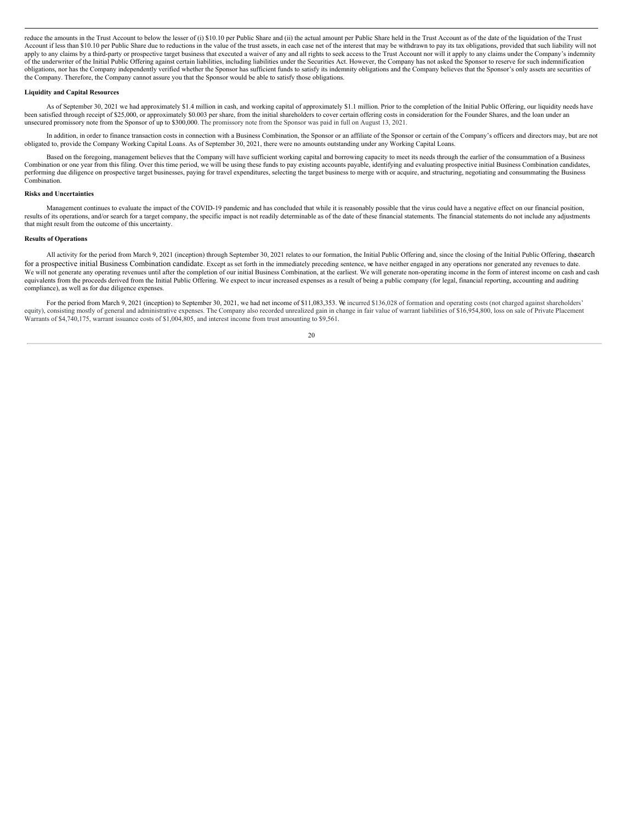reduce the amounts in the Trust Account to below the lesser of (i) \$10.10 per Public Share and (ii) the actual amount per Public Share held in the Trust Account as of the date of the liquidation of the Trust Account if less than \$10.10 per Public Share due to reductions in the value of the trust assets, in each case net of the interest that may be withdrawn to pay its tax obligations, provided that such liability will not apply to any claims by a third-party or prospective target business that executed a waiver of any and all rights to seek access to the Trust Account nor will it apply to any claims under the Company's indemnity of the underwriter of the Initial Public Offering against certain liabilities, including liabilities under the Securities Act. However, the Company has not asked the Sponsor to reserve for such indemnification obligations, nor has the Company independently verified whether the Sponsor has sufficient funds to satisfy its indemnity obligations and the Company believes that the Sponsor's only assets are securities of the Company. Therefore, the Company cannot assure you that the Sponsor would be able to satisfy those obligations.

#### **Liquidity and Capital Resources**

As of September 30, 2021 we had approximately \$1.4 million in cash, and working capital of approximately \$1.1 million. Prior to the completion of the Initial Public Offering, our liquidity needs have been satisfied through receipt of \$25,000, or approximately \$0.003 per share, from the initial shareholders to cover certain offering costs in consideration for the Founder Shares, and the loan under an unsecured promissory note from the Sponsor of up to \$300,000. The promissory note from the Sponsor was paid in full on August 13, 2021.

In addition, in order to finance transaction costs in connection with a Business Combination, the Sponsor or an affiliate of the Sponsor or certain of the Company's officers and directors may, but are not obligated to, provide the Company Working Capital Loans. As of September 30, 2021, there were no amounts outstanding under any Working Capital Loans.

Based on the foregoing, management believes that the Company will have sufficient working capital and borrowing capacity to meet its needs through the earlier of the consummation of a Business Combination or one year from this filing. Over this time period, we will be using these funds to pay existing accounts payable, identifying and evaluating prospective initial Business Combination candidates, performing due diligence on prospective target businesses, paying for travel expenditures, selecting the target business to merge with or acquire, and structuring, negotiating and consummating the Business Combination.

#### **Risks and Uncertainties**

Management continues to evaluate the impact of the COVID-19 pandemic and has concluded that while it is reasonably possible that the virus could have a negative effect on our financial position, results of its operations, and/or search for a target company, the specific impact is not readily determinable as of the date of these financial statements. The financial statements do not include any adjustments that might result from the outcome of this uncertainty.

#### **Results of Operations**

All activity for the period from March 9, 2021 (inception) through September 30, 2021 relates to our formation, the Initial Public Offering and, since the closing of the Initial Public Offering, thesearch for a prospective initial Business Combination candidate. Except as set forth in the immediately preceding sentence, we have neither engaged in any operations nor generated any revenues to date. We will not generate any operating revenues until after the completion of our initial Business Combination, at the earliest. We will generate non-operating income in the form of interest income on cash and cash equivalents from the proceeds derived from the Initial Public Offering. We expect to incur increased expenses as a result of being a public company (for legal, financial reporting, accounting and auditing compliance), as well as for due diligence expenses.

For the period from March 9, 2021 (inception) to September 30, 2021, we had net income of \$11,083,353. We incurred \$136,028 of formation and operating costs (not charged against shareholders' equity), consisting mostly of general and administrative expenses. The Company also recorded unrealized gain in change in fair value of warrant liabilities of \$16,954,800, loss on sale of Private Placement Warrants of \$4,740,175, warrant issuance costs of \$1,004,805, and interest income from trust amounting to \$9,561.

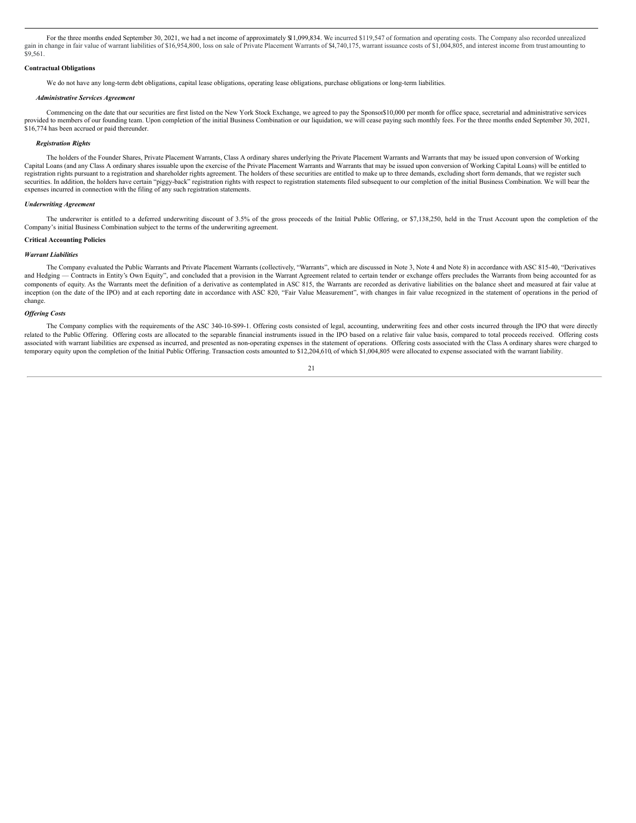For the three months ended September 30, 2021, we had a net income of approximately \$11,099,834. We incurred \$119,547 of formation and operating costs. The Company also recorded unrealized gain in change in fair value of warrant liabilities of \$16,954,800, loss on sale of Private Placement Warrants of \$4,740,175, warrant issuance costs of \$1,004,805, and interest income from trust amounting to \$9,561.

#### **Contractual Obligations**

We do not have any long-term debt obligations, capital lease obligations, operating lease obligations, purchase obligations or long-term liabilities.

#### *Administrative Services Agreement*

Commencing on the date that our securities are first listed on the New York Stock Exchange, we agreed to pay the Sponsor\$10,000 per month for office space, secretarial and administrative services provided to members of our founding team. Upon completion of the initial Business Combination or our liquidation, we will cease paying such monthly fees. For the three months ended September 30, 2021, \$16,774 has been accrued or paid thereunder.

#### *Registration Rights*

The holders of the Founder Shares, Private Placement Warrants, Class A ordinary shares underlying the Private Placement Warrants and Warrants that may be issued upon conversion of Working Capital Loans (and any Class A ordinary shares issuable upon the exercise of the Private Placement Warrants and Warrants that may be issued upon conversion of Working Capital Loans) will be entitled to registration rights pursuant to a registration and shareholder rights agreement. The holders of these securities are entitled to make up to three demands, excluding short form demands, that we register such securities. In addition, the holders have certain "piggy-back" registration rights with respect to registration statements filed subsequent to our completion of the initial Business Combination. We will bear the expenses incurred in connection with the filing of any such registration statements.

#### *Underwriting Agreement*

The underwriter is entitled to a deferred underwriting discount of 3.5% of the gross proceeds of the Initial Public Offering, or \$7,138,250, held in the Trust Account upon the completion of the Company's initial Business Combination subject to the terms of the underwriting agreement.

#### **Critical Accounting Policies**

#### *Warrant Liabilities*

The Company evaluated the Public Warrants and Private Placement Warrants (collectively, "Warrants", which are discussed in Note 3, Note 4 and Note 8) in accordance with ASC 815-40, "Derivatives and Hedging - Contracts in Entity's Own Equity", and concluded that a provision in the Warrant Agreement related to certain tender or exchange offers precludes the Warrants from being accounted for as components of equity. As the Warrants meet the definition of a derivative as contemplated in ASC 815, the Warrants are recorded as derivative liabilities on the balance sheet and measured at fair value at inception (on the date of the IPO) and at each reporting date in accordance with ASC 820, "Fair Value Measurement", with changes in fair value recognized in the statement of operations in the period of change.

#### *Of ering Costs*

The Company complies with the requirements of the ASC 340-10-S99-1. Offering costs consisted of legal, accounting, underwriting fees and other costs incurred through the IPO that were directly related to the Public Offering. Offering costs are allocated to the separable financial instruments issued in the IPO based on a relative fair value basis, compared to total proceeds received. Offering costs associated with warrant liabilities are expensed as incurred, and presented as non-operating expenses in the statement of operations. Offering costs associated with the Class A ordinary shares were charged to temporary equity upon the completion of the Initial Public Offering. Transaction costs amounted to \$12,204,610, of which \$1,004,805 were allocated to expense associated with the warrant liability.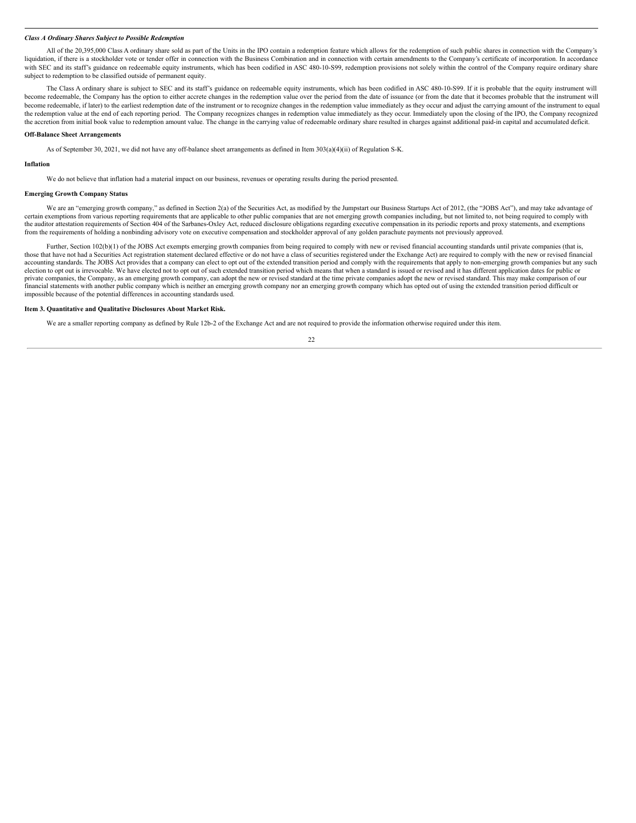#### *Class A Ordinary Shares Subject to Possible Redemption*

All of the 20,395,000 Class A ordinary share sold as part of the Units in the IPO contain a redemption feature which allows for the redemption of such public shares in connection with the Company's liquidation, if there is a stockholder vote or tender offer in connection with the Business Combination and in connection with certain amendments to the Company's certificate of incorporation. In accordance with SEC and its staff's guidance on redeemable equity instruments, which has been codified in ASC 480-10-S99, redemption provisions not solely within the control of the Company require ordinary share subject to redemption to be classified outside of permanent equity.

The Class A ordinary share is subject to SEC and its staff's guidance on redeemable equity instruments, which has been codified in ASC 480-10-S99. If it is probable that the equity instrument will become redeemable, the Company has the option to either accrete changes in the redemption value over the period from the date of issuance (or from the date that it becomes probable that the instrument will become redeemable, if later) to the earliest redemption date of the instrument or to recognize changes in the redemption value immediately as they occur and adjust the carrying amount of the instrument to equal the redemption value at the end of each reporting period. The Company recognizes changes in redemption value immediately as they occur. Immediately upon the closing of the IPO, the Company recognized the accretion from initial book value to redemption amount value. The change in the carrying value of redeemable ordinary share resulted in charges against additional paid-in capital and accumulated deficit.

#### **Off-Balance Sheet Arrangements**

As of September 30, 2021, we did not have any off-balance sheet arrangements as defined in Item 303(a)(4)(ii) of Regulation S-K.

#### **Inflation**

We do not believe that inflation had a material impact on our business, revenues or operating results during the period presented.

#### **Emerging Growth Company Status**

We are an "emerging growth company," as defined in Section 2(a) of the Securities Act, as modified by the Jumpstart our Business Startups Act of 2012, (the "JOBS Act"), and may take advantage of certain exemptions from various reporting requirements that are applicable to other public companies that are not emerging growth companies including, but not limited to, not being required to comply with the auditor attestation requirements of Section 404 of the Sarbanes-Oxley Act, reduced disclosure obligations regarding executive compensation in its periodic reports and proxy statements, and exemptions from the requirements of holding a nonbinding advisory vote on executive compensation and stockholder approval of any golden parachute payments not previously approved.

Further, Section 102(b)(1) of the JOBS Act exempts emerging growth companies from being required to comply with new or revised financial accounting standards until private companies (that is, those that have not had a Securities Act registration statement declared effective or do not have a class of securities registered under the Exchange Act) are required to comply with the new or revised financial accounting standards. The JOBS Act provides that a company can elect to opt out of the extended transition period and comply with the requirements that apply to non-emerging growth companies but any such election to opt out is irrevocable. We have elected not to opt out of such extended transition period which means that when a standard is issued or revised and it has different application dates for public or private companies, the Company, as an emerging growth company, can adopt the new or revised standard at the time private companies adopt the new or revised standard. This may make comparison of our financial statements with another public company which is neither an emerging growth company nor an emerging growth company which has opted out of using the extended transition period difficult or impossible because of the potential differences in accounting standards used.

#### <span id="page-25-0"></span>**Item 3. Quantitative and Qualitative Disclosures About Market Risk.**

We are a smaller reporting company as defined by Rule 12b-2 of the Exchange Act and are not required to provide the information otherwise required under this item.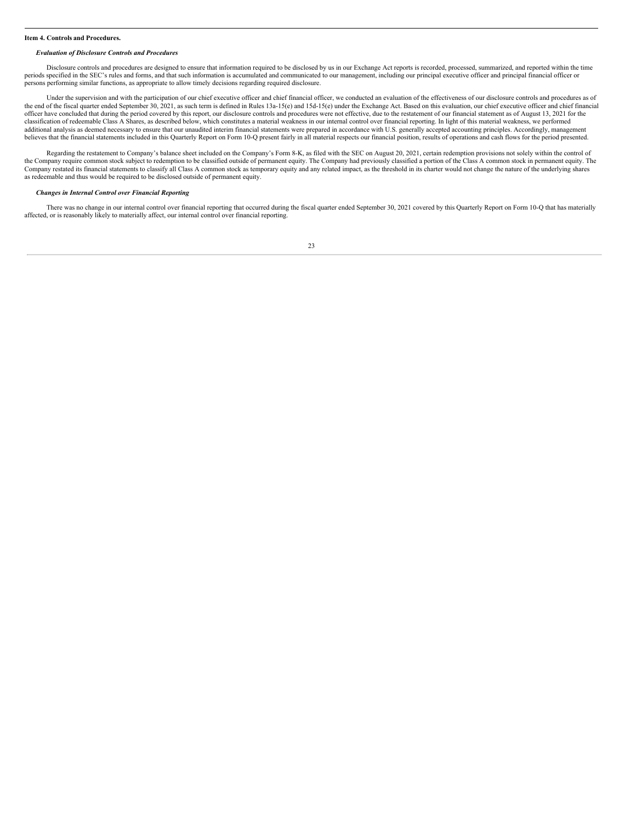#### <span id="page-26-0"></span>**Item 4. Controls and Procedures.**

#### *Evaluation of Disclosure Controls and Procedures*

Disclosure controls and procedures are designed to ensure that information required to be disclosed by us in our Exchange Act reports is recorded, processed, summarized, and reported within the time periods specified in the SEC's rules and forms, and that such information is accumulated and communicated to our management, including our principal executive officer and principal financial officer or persons performing similar functions, as appropriate to allow timely decisions regarding required disclosure.

Under the supervision and with the participation of our chief executive officer and chief financial officer, we conducted an evaluation of the effectiveness of our disclosure controls and procedures as of the end of the fiscal quarter ended September 30, 2021, as such term is defined in Rules 13a-15(e) and 15d-15(e) under the Exchange Act. Based on this evaluation, our chief executive officer and chief financial officer have concluded that during the period covered by this report, our disclosure controls and procedures were not effective, due to the restatement of our financial statement as of August 13, 2021 for the classification of redeemable Class A Shares, as described below, which constitutes a material weakness in our internal control over financial reporting. In light of this material weakness, we performed additional analysis as deemed necessary to ensure that our unaudited interim financial statements were prepared in accordance with U.S. generally accepted accounting principles. Accordingly, management believes that the financial statements included in this Quarterly Report on Form 10-Q present fairly in all material respects our financial position, results of operations and cash flows for the period presented.

Regarding the restatement to Company's balance sheet included on the Company's Form 8-K, as filed with the SEC on August 20, 2021, certain redemption provisions not solely within the control of the Company require common stock subject to redemption to be classified outside of permanent equity. The Company had previously classified a portion of the Class A common stock in permanent equity. The Company restated its financial statements to classify all Class A common stock as temporary equity and any related impact, as the threshold in its charter would not change the nature of the underlying shares as redeemable and thus would be required to be disclosed outside of permanent equity.

#### *Changes in Internal Control over Financial Reporting*

There was no change in our internal control over financial reporting that occurred during the fiscal quarter ended September 30, 2021 covered by this Quarterly Report on Form 10-Q that has materially affected, or is reasonably likely to materially affect, our internal control over financial reporting.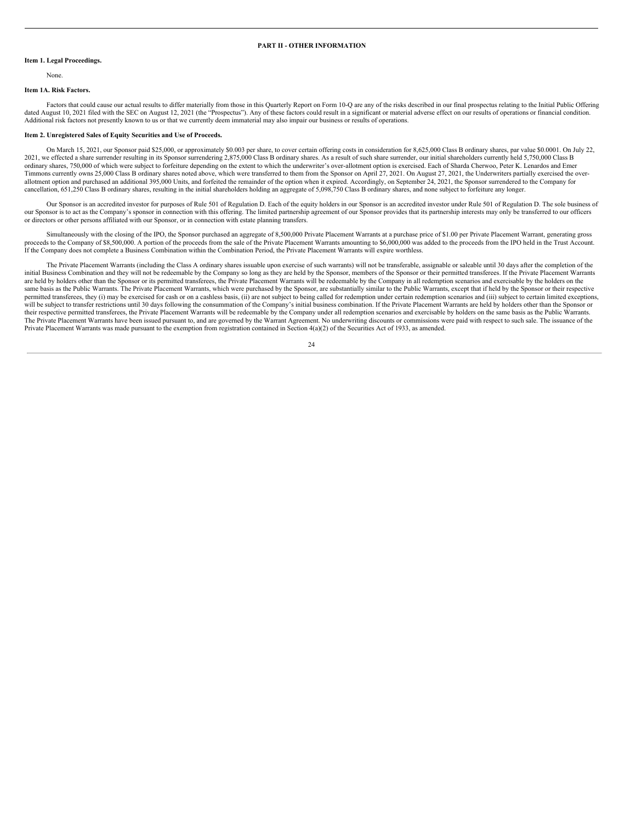#### **PART II - OTHER INFORMATION**

#### <span id="page-27-1"></span><span id="page-27-0"></span>**Item 1. Legal Proceedings.**

None.

#### <span id="page-27-2"></span>**Item 1A. Risk Factors.**

Factors that could cause our actual results to differ materially from those in this Quarterly Report on Form 10-Q are any of the risks described in our final prospectus relating to the Initial Public Offering dated August 10, 2021 filed with the SEC on August 12, 2021 (the "Prospectus"). Any of these factors could result in a significant or material adverse effect on our results of operations or financial condition. Additional risk factors not presently known to us or that we currently deem immaterial may also impair our business or results of operations.

#### <span id="page-27-3"></span>**Item 2. Unregistered Sales of Equity Securities and Use of Proceeds.**

On March 15, 2021, our Sponsor paid \$25,000, or approximately \$0.003 per share, to cover certain offering costs in consideration for 8,625,000 Class B ordinary shares, par value \$0.0001. On July 22, 2021, we effected a share surrender resulting in its Sponsor surrendering 2,875,000 Class B ordinary shares. As a result of such share surrender, our initial shareholders currently held 5,750,000 Class B ordinary shares, 750,000 of which were subject to forfeiture depending on the extent to which the underwriter's over-allotment option is exercised. Each of Sharda Cherwoo, Peter K. Lenardos and Emer Timmons currently owns 25,000 Class B ordinary shares noted above, which were transferred to them from the Sponsor on April 27, 2021. On August 27, 2021, the Underwriters partially exercised the overallotment option and purchased an additional 395,000 Units, and forfeited the remainder of the option when it expired. Accordingly, on September 24, 2021, the Sponsor surrendered to the Company for cancellation, 651,250 Class B ordinary shares, resulting in the initial shareholders holding an aggregate of 5,098,750 Class B ordinary shares, and none subject to forfeiture any longer.

Our Sponsor is an accredited investor for purposes of Rule 501 of Regulation D. Each of the equity holders in our Sponsor is an accredited investor under Rule 501 of Regulation D. The sole business of our Sponsor is to act as the Company's sponsor in connection with this offering. The limited partnership agreement of our Sponsor provides that its partnership interests may only be transferred to our officers or directors or other persons affiliated with our Sponsor, or in connection with estate planning transfers.

Simultaneously with the closing of the IPO, the Sponsor purchased an aggregate of 8,500,000 Private Placement Warrants at a purchase price of \$1.00 per Private Placement Warrant, generating gross proceeds to the Company of \$8,500,000. A portion of the proceeds from the sale of the Private Placement Warrants amounting to \$6,000,000 was added to the proceeds from the IPO held in the Trust Account. If the Company does not complete a Business Combination within the Combination Period, the Private Placement Warrants will expire worthless.

The Private Placement Warrants (including the Class A ordinary shares issuable upon exercise of such warrants) will not be transferable, assignable or saleable until 30 days after the completion of the initial Business Combination and they will not be redeemable by the Company so long as they are held by the Sponsor, members of the Sponsor or their permitted transferees. If the Private Placement Warrants are held by holders other than the Sponsor or its permitted transferees, the Private Placement Warrants will be redeemable by the Company in all redemption scenarios and exercisable by the holders on the same basis as the Public Warrants. The Private Placement Warrants, which were purchased by the Sponsor, are substantially similar to the Public Warrants, except that if held by the Sponsor or their respective permitted transferees, they (i) may be exercised for cash or on a cashless basis, (ii) are not subject to being called for redemption under certain redemption scenarios and (iii) subject to certain limited exceptions, will be subject to transfer restrictions until 30 days following the consummation of the Company's initial business combination. If the Private Placement Warrants are held by holders other than the Sponsor or their respective permitted transferees, the Private Placement Warrants will be redeemable by the Company under all redemption scenarios and exercisable by holders on the same basis as the Public Warrants. The Private Placement Warrants have been issued pursuant to, and are governed by the Warrant Agreement. No underwriting discounts or commissions were paid with respect to such sale. The issuance of the Private Placement Warrants was made pursuant to the exemption from registration contained in Section 4(a)(2) of the Securities Act of 1933, as amended.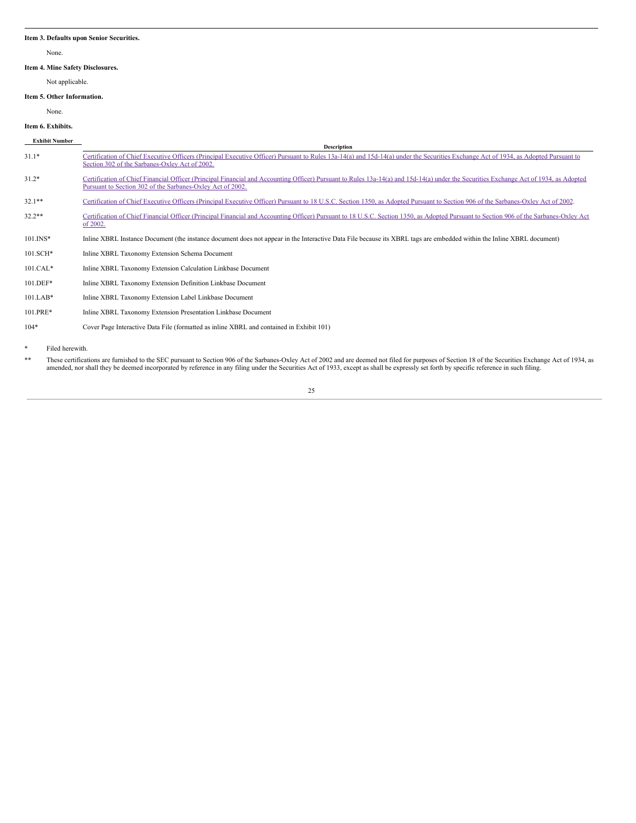#### <span id="page-28-0"></span>**Item 3. Defaults upon Senior Securities.**

None.

# <span id="page-28-1"></span>**Item 4. Mine Safety Disclosures.**

Not applicable.

# <span id="page-28-2"></span>**Item 5. Other Information.**

None.

# <span id="page-28-3"></span>**Item 6. Exhibits.**

| <b>Exhibit Number</b> | <b>Description</b>                                                                                                                                                                                                                                  |
|-----------------------|-----------------------------------------------------------------------------------------------------------------------------------------------------------------------------------------------------------------------------------------------------|
| $31.1*$               | Certification of Chief Executive Officers (Principal Executive Officer) Pursuant to Rules 13a-14(a) and 15d-14(a) under the Securities Exchange Act of 1934, as Adopted Pursuant to<br>Section 302 of the Sarbanes-Oxley Act of 2002.               |
| $31.2*$               | Certification of Chief Financial Officer (Principal Financial and Accounting Officer) Pursuant to Rules 13a-14(a) and 15d-14(a) under the Securities Exchange Act of 1934, as Adopted<br>Pursuant to Section 302 of the Sarbanes-Oxley Act of 2002. |
| $32.1**$              | Certification of Chief Executive Officers (Principal Executive Officer) Pursuant to 18 U.S.C. Section 1350, as Adopted Pursuant to Section 906 of the Sarbanes-Oxley Act of 2002.                                                                   |
| $32.2**$              | Certification of Chief Financial Officer (Principal Financial and Accounting Officer) Pursuant to 18 U.S.C. Section 1350, as Adopted Pursuant to Section 906 of the Sarbanes-Oxley Act<br>of $2002$ .                                               |
| $101$ . INS*          | Inline XBRL Instance Document (the instance document does not appear in the Interactive Data File because its XBRL tags are embedded within the Inline XBRL document)                                                                               |
| 101.SCH*              | Inline XBRL Taxonomy Extension Schema Document                                                                                                                                                                                                      |
| $101.CAL*$            | Inline XBRL Taxonomy Extension Calculation Linkbase Document                                                                                                                                                                                        |
| $101.DEF*$            | Inline XBRL Taxonomy Extension Definition Linkbase Document                                                                                                                                                                                         |
| $101.LAB*$            | Inline XBRL Taxonomy Extension Label Linkbase Document                                                                                                                                                                                              |
| 101.PRE*              | Inline XBRL Taxonomy Extension Presentation Linkbase Document                                                                                                                                                                                       |
| $104*$                | Cover Page Interactive Data File (formatted as inline XBRL and contained in Exhibit 101)                                                                                                                                                            |

\* Filed herewith.

\*\* These certifications are furnished to the SEC pursuant to Section 906 of the Sarbanes-Oxley Act of 2002 and are deemed not filed for purposes of Section 18 of the Securities Exchange Act of 1934, as amended, nor shall t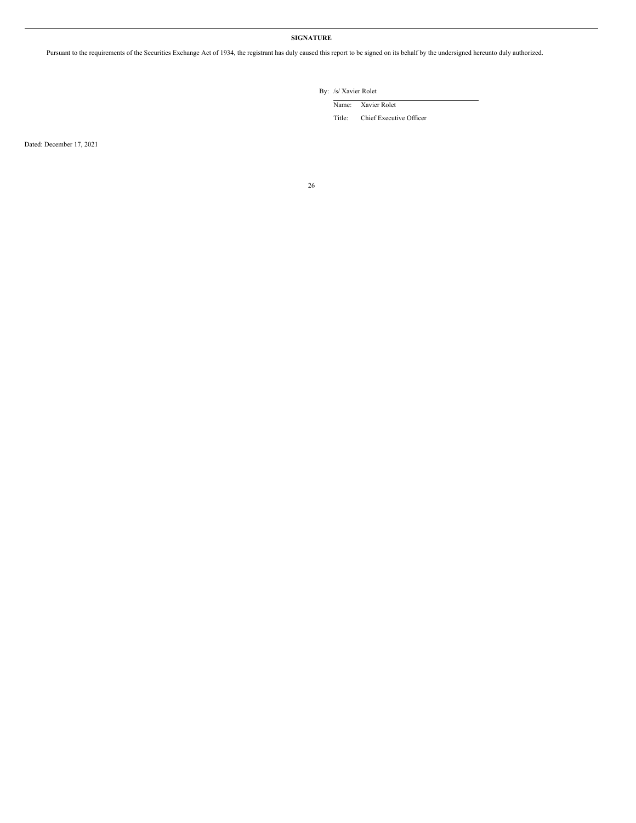# **SIGNATURE**

<span id="page-29-0"></span>Pursuant to the requirements of the Securities Exchange Act of 1934, the registrant has duly caused this report to be signed on its behalf by the undersigned hereunto duly authorized.

By: /s/ Xavier Rolet

Name: Xavier Rolet

Title: Chief Executive Officer

Dated: December 17, 2021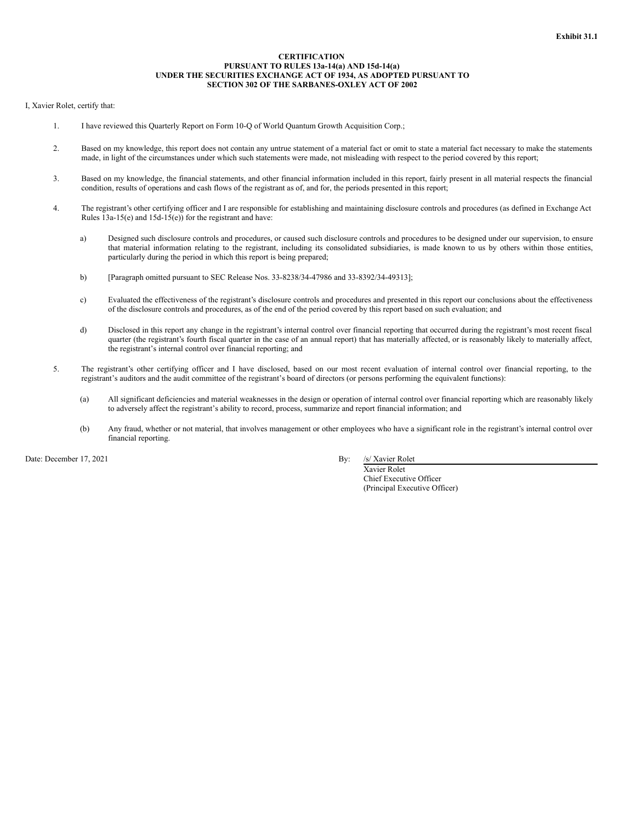# **CERTIFICATION PURSUANT TO RULES 13a-14(a) AND 15d-14(a) UNDER THE SECURITIES EXCHANGE ACT OF 1934, AS ADOPTED PURSUANT TO SECTION 302 OF THE SARBANES-OXLEY ACT OF 2002**

# <span id="page-30-0"></span>I, Xavier Rolet, certify that:

- 1. I have reviewed this Quarterly Report on Form 10-Q of World Quantum Growth Acquisition Corp.;
- 2. Based on my knowledge, this report does not contain any untrue statement of a material fact or omit to state a material fact necessary to make the statements made, in light of the circumstances under which such statements were made, not misleading with respect to the period covered by this report;
- 3. Based on my knowledge, the financial statements, and other financial information included in this report, fairly present in all material respects the financial condition, results of operations and cash flows of the registrant as of, and for, the periods presented in this report;
- 4. The registrant's other certifying officer and I are responsible for establishing and maintaining disclosure controls and procedures (as defined in Exchange Act Rules 13a-15(e) and 15d-15(e)) for the registrant and have:
	- a) Designed such disclosure controls and procedures, or caused such disclosure controls and procedures to be designed under our supervision, to ensure that material information relating to the registrant, including its consolidated subsidiaries, is made known to us by others within those entities, particularly during the period in which this report is being prepared;
	- b) [Paragraph omitted pursuant to SEC Release Nos. 33-8238/34-47986 and 33-8392/34-49313];
	- c) Evaluated the effectiveness of the registrant's disclosure controls and procedures and presented in this report our conclusions about the effectiveness of the disclosure controls and procedures, as of the end of the period covered by this report based on such evaluation; and
	- d) Disclosed in this report any change in the registrant's internal control over financial reporting that occurred during the registrant's most recent fiscal quarter (the registrant's fourth fiscal quarter in the case of an annual report) that has materially affected, or is reasonably likely to materially affect, the registrant's internal control over financial reporting; and
- 5. The registrant's other certifying officer and I have disclosed, based on our most recent evaluation of internal control over financial reporting, to the registrant's auditors and the audit committee of the registrant's board of directors (or persons performing the equivalent functions):
	- (a) All significant deficiencies and material weaknesses in the design or operation of internal control over financial reporting which are reasonably likely to adversely affect the registrant's ability to record, process, summarize and report financial information; and
	- (b) Any fraud, whether or not material, that involves management or other employees who have a significant role in the registrant's internal control over financial reporting.

Date: December 17, 2021 By: /s/ Xavier Rolet

Xavier Rolet Chief Executive Officer (Principal Executive Officer)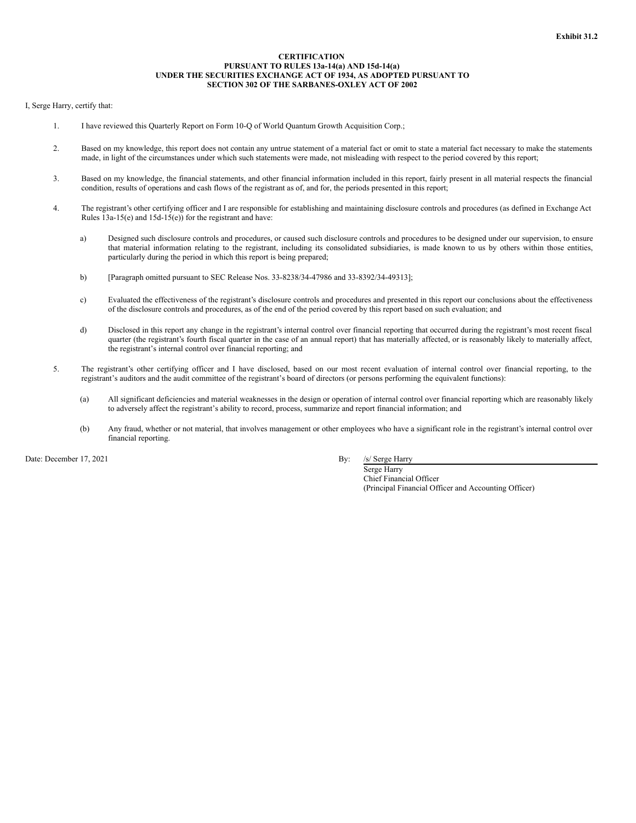# **CERTIFICATION PURSUANT TO RULES 13a-14(a) AND 15d-14(a) UNDER THE SECURITIES EXCHANGE ACT OF 1934, AS ADOPTED PURSUANT TO SECTION 302 OF THE SARBANES-OXLEY ACT OF 2002**

# <span id="page-31-0"></span>I, Serge Harry, certify that:

- 1. I have reviewed this Quarterly Report on Form 10-Q of World Quantum Growth Acquisition Corp.;
- 2. Based on my knowledge, this report does not contain any untrue statement of a material fact or omit to state a material fact necessary to make the statements made, in light of the circumstances under which such statements were made, not misleading with respect to the period covered by this report;
- 3. Based on my knowledge, the financial statements, and other financial information included in this report, fairly present in all material respects the financial condition, results of operations and cash flows of the registrant as of, and for, the periods presented in this report;
- 4. The registrant's other certifying officer and I are responsible for establishing and maintaining disclosure controls and procedures (as defined in Exchange Act Rules 13a-15(e) and 15d-15(e)) for the registrant and have:
	- a) Designed such disclosure controls and procedures, or caused such disclosure controls and procedures to be designed under our supervision, to ensure that material information relating to the registrant, including its consolidated subsidiaries, is made known to us by others within those entities, particularly during the period in which this report is being prepared;
	- b) [Paragraph omitted pursuant to SEC Release Nos. 33-8238/34-47986 and 33-8392/34-49313];
	- c) Evaluated the effectiveness of the registrant's disclosure controls and procedures and presented in this report our conclusions about the effectiveness of the disclosure controls and procedures, as of the end of the period covered by this report based on such evaluation; and
	- d) Disclosed in this report any change in the registrant's internal control over financial reporting that occurred during the registrant's most recent fiscal quarter (the registrant's fourth fiscal quarter in the case of an annual report) that has materially affected, or is reasonably likely to materially affect, the registrant's internal control over financial reporting; and
- 5. The registrant's other certifying officer and I have disclosed, based on our most recent evaluation of internal control over financial reporting, to the registrant's auditors and the audit committee of the registrant's board of directors (or persons performing the equivalent functions):
	- (a) All significant deficiencies and material weaknesses in the design or operation of internal control over financial reporting which are reasonably likely to adversely affect the registrant's ability to record, process, summarize and report financial information; and
	- (b) Any fraud, whether or not material, that involves management or other employees who have a significant role in the registrant's internal control over financial reporting.

Date: December 17, 2021 By: /s/ Serge Harry

Serge Harry Chief Financial Officer (Principal Financial Officer and Accounting Officer)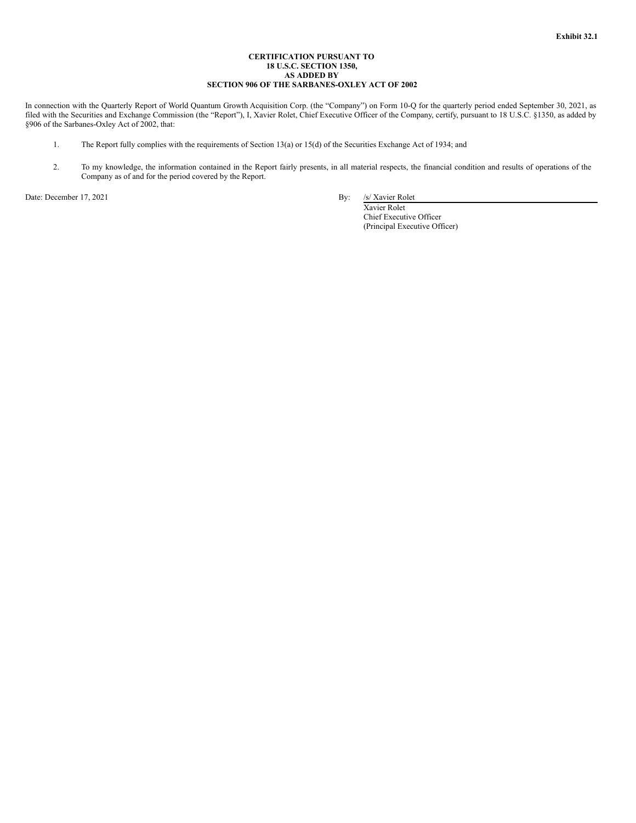# **CERTIFICATION PURSUANT TO 18 U.S.C. SECTION 1350, AS ADDED BY SECTION 906 OF THE SARBANES-OXLEY ACT OF 2002**

<span id="page-32-0"></span>In connection with the Quarterly Report of World Quantum Growth Acquisition Corp. (the "Company") on Form 10-Q for the quarterly period ended September 30, 2021, as filed with the Securities and Exchange Commission (the "Report"), I, Xavier Rolet, Chief Executive Officer of the Company, certify, pursuant to 18 U.S.C. §1350, as added by §906 of the Sarbanes-Oxley Act of 2002, that:

- 1. The Report fully complies with the requirements of Section 13(a) or 15(d) of the Securities Exchange Act of 1934; and
- 2. To my knowledge, the information contained in the Report fairly presents, in all material respects, the financial condition and results of operations of the Company as of and for the period covered by the Report.

Date: December 17, 2021 By: /s/ Xavier Rolet

Xavier Rolet Chief Executive Officer (Principal Executive Officer)